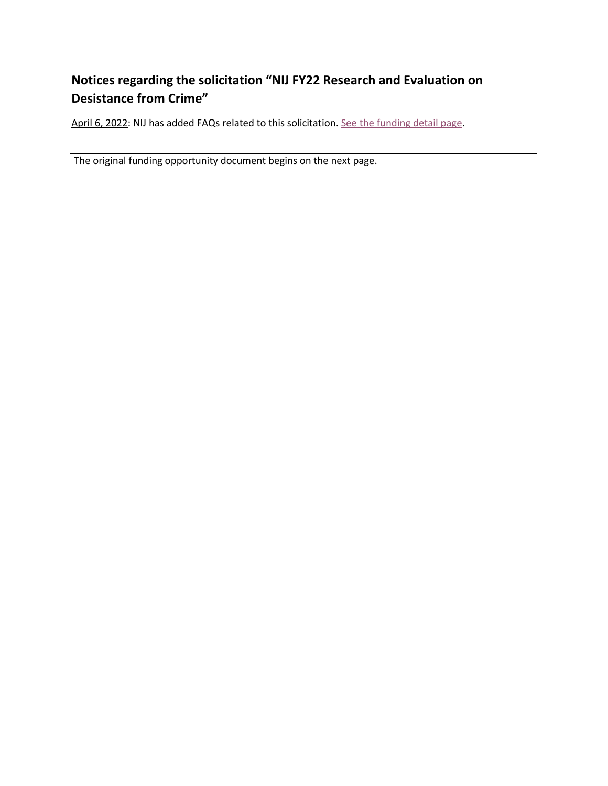## **Notices regarding the solicitation "NIJ FY22 Research and Evaluation on Desistance from Crime"**

April 6, 2022: NIJ has added FAQs related to this solicitation[. See the funding detail page.](https://nij.ojp.gov/funding/opportunities/O-NIJ-2022-171220)

The original funding opportunity document begins on the next page.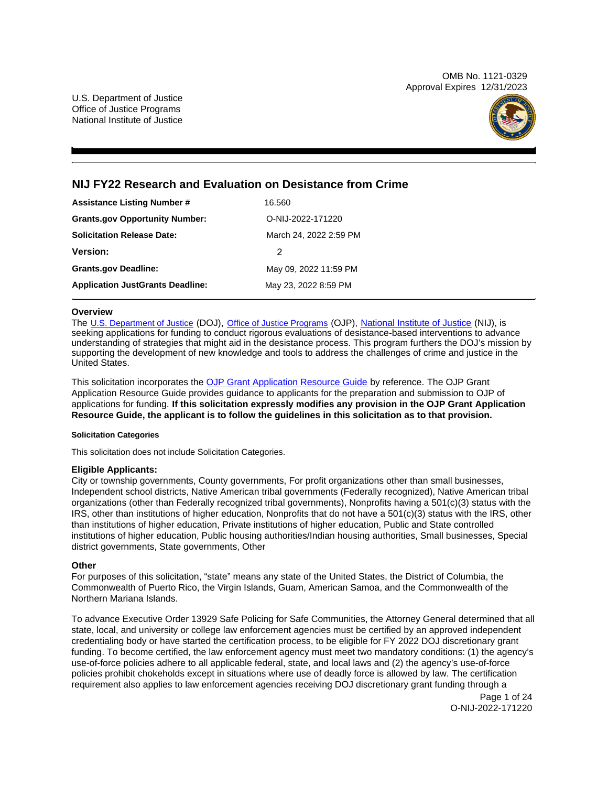OMB No. 1121-0329 Approval Expires 12/31/2023



## **NIJ FY22 Research and Evaluation on Desistance from Crime**

| <b>Assistance Listing Number #</b>      | 16.560                 |  |
|-----------------------------------------|------------------------|--|
| <b>Grants.gov Opportunity Number:</b>   | O-NIJ-2022-171220      |  |
| <b>Solicitation Release Date:</b>       | March 24, 2022 2:59 PM |  |
| <b>Version:</b>                         | 2                      |  |
| <b>Grants.gov Deadline:</b>             | May 09, 2022 11:59 PM  |  |
| <b>Application JustGrants Deadline:</b> | May 23, 2022 8:59 PM   |  |

## **Overview**

The [U.S. Department of Justice](https://www.usdoj.gov/) (DOJ), [Office of Justice Programs](https://www.ojp.usdoj.gov/) (OJP), [National Institute of Justice](https://nij.ojp.gov/) (NIJ), is seeking applications for funding to conduct rigorous evaluations of desistance-based interventions to advance understanding of strategies that might aid in the desistance process. This program furthers the DOJ's mission by supporting the development of new knowledge and tools to address the challenges of crime and justice in the United States.

This solicitation incorporates the [OJP Grant Application Resource Guide](https://www.ojp.gov/funding/Apply/Resources/Grant-App-Resource-Guide.htm) by reference. The OJP Grant Application Resource Guide provides guidance to applicants for the preparation and submission to OJP of applications for funding. **If this solicitation expressly modifies any provision in the OJP Grant Application Resource Guide, the applicant is to follow the guidelines in this solicitation as to that provision.** 

## **Solicitation Categories**

This solicitation does not include Solicitation Categories.

## **Eligible Applicants:**

City or township governments, County governments, For profit organizations other than small businesses, Independent school districts, Native American tribal governments (Federally recognized), Native American tribal organizations (other than Federally recognized tribal governments), Nonprofits having a 501(c)(3) status with the IRS, other than institutions of higher education, Nonprofits that do not have a 501(c)(3) status with the IRS, other than institutions of higher education, Private institutions of higher education, Public and State controlled institutions of higher education, Public housing authorities/Indian housing authorities, Small businesses, Special district governments, State governments, Other

## **Other**

For purposes of this solicitation, "state" means any state of the United States, the District of Columbia, the Commonwealth of Puerto Rico, the Virgin Islands, Guam, American Samoa, and the Commonwealth of the Northern Mariana Islands.

To advance Executive Order 13929 Safe Policing for Safe Communities, the Attorney General determined that all state, local, and university or college law enforcement agencies must be certified by an approved independent credentialing body or have started the certification process, to be eligible for FY 2022 DOJ discretionary grant funding. To become certified, the law enforcement agency must meet two mandatory conditions: (1) the agency's use-of-force policies adhere to all applicable federal, state, and local laws and (2) the agency's use-of-force policies prohibit chokeholds except in situations where use of deadly force is allowed by law. The certification requirement also applies to law enforcement agencies receiving DOJ discretionary grant funding through a

> Page 1 of 24 O-NIJ-2022-171220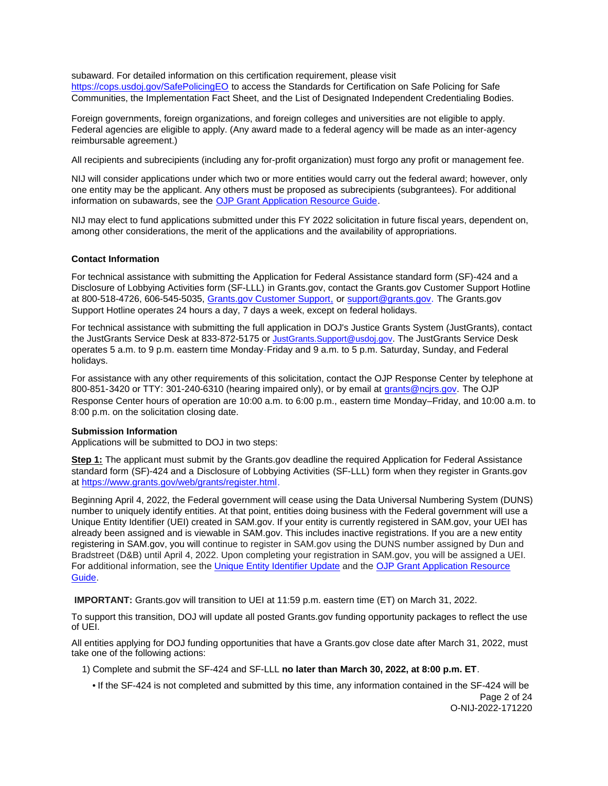<span id="page-2-0"></span>subaward. For detailed information on this certification requirement, please visit [https://cops.usdoj.gov/SafePolicingEO](https://cops.usdoj.gov/SafePolicingEO%20) to access the Standards for Certification on Safe Policing for Safe Communities, the Implementation Fact Sheet, and the List of Designated Independent Credentialing Bodies.

Foreign governments, foreign organizations, and foreign colleges and universities are not eligible to apply. Federal agencies are eligible to apply. (Any award made to a federal agency will be made as an inter-agency reimbursable agreement.)

All recipients and subrecipients (including any for-profit organization) must forgo any profit or management fee.

NIJ will consider applications under which two or more entities would carry out the federal award; however, only one entity may be the applicant. Any others must be proposed as subrecipients (subgrantees). For additional information on subawards, see the [OJP Grant Application Resource Guide.](https://www.ojp.gov/funding/Apply/Resources/Grant-App-Resource-Guide.htm)

NIJ may elect to fund applications submitted under this FY 2022 solicitation in future fiscal years, dependent on, among other considerations, the merit of the applications and the availability of appropriations.

## **Contact Information**

For technical assistance with submitting the Application for Federal Assistance standard form (SF)-424 and a Disclosure of Lobbying Activities form (SF-LLL) in [Grants.gov](https://Grants.gov), contact the [Grants.gov](https://Grants.gov) Customer Support Hotline at 800-518-4726, 606-545-5035, [Grants.gov Customer Support,](https://www.grants.gov/web/grants/support.html) or [support@grants.gov.](mailto:support@grants.gov) The [Grants.gov](https://Grants.gov) Support Hotline operates 24 hours a day, 7 days a week, except on federal holidays.

For technical assistance with submitting the full application in DOJ's Justice Grants System (JustGrants), contact the JustGrants Service Desk at 833-872-5175 or [JustGrants.Support@usdoj.gov.](mailto:JustGrants.Support@usdoj.gov) The JustGrants Service Desk operates 5 a.m. to 9 p.m. eastern time Monday-Friday and 9 a.m. to 5 p.m. Saturday, Sunday, and Federal holidays.

For assistance with any other requirements of this solicitation, contact the OJP Response Center by telephone at 800-851-3420 or TTY: 301-240-6310 (hearing impaired only), or by email at [grants@ncjrs.gov.](mailto:grants@ncjrs.gov) The OJP Response Center hours of operation are 10:00 a.m. to 6:00 p.m., eastern time Monday–Friday, and 10:00 a.m. to 8:00 p.m. on the solicitation closing date.

## **Submission Information**

Applications will be submitted to DOJ in two steps:

**Step 1:** The applicant must submit by the [Grants.gov](https://Grants.gov) deadline the required Application for Federal Assistance standard form (SF)-424 and a Disclosure of Lobbying Activities (SF-LLL) form when they register in [Grants.gov](https://Grants.gov) at [https://www.grants.gov/web/grants/register.html.](https://www.grants.gov/web/grants/register.html)

Beginning April 4, 2022, the Federal government will cease using the Data Universal Numbering System (DUNS) number to uniquely identify entities. At that point, entities doing business with the Federal government will use a Unique Entity Identifier (UEI) created in SAM.gov. If your entity is currently registered in SAM.gov, your UEI has already been assigned and is viewable in SAM.gov. This includes inactive registrations. If you are a new entity registering in SAM.gov, you will continue to register in SAM.gov using the DUNS number assigned by Dun and Bradstreet (D&B) until April 4, 2022. Upon completing your registration in SAM.gov, you will be assigned a UEI. For additional information, see the [Unique Entity Identifier Update](https://www.gsa.gov/about-us/organization/federal-acquisition-service/office-of-systems-management/integrated-award-environment-iae/iae-systems-information-kit/unique-entity-identifier-update) and the [OJP Grant Application Resource](https://www.ojp.gov/funding/apply/ojp-grant-application-resource-guide#unique-entity)  [Guide.](https://www.ojp.gov/funding/apply/ojp-grant-application-resource-guide#unique-entity)

**IMPORTANT:** [Grants.gov](https://Grants.gov) will transition to UEI at 11:59 p.m. eastern time (ET) on March 31, 2022.

To support this transition, DOJ will update all posted [Grants.gov](https://Grants.gov) funding opportunity packages to reflect the use of UEI.

All entities applying for DOJ funding opportunities that have a [Grants.gov](https://Grants.gov) close date after March 31, 2022, must take one of the following actions:

1) Complete and submit the SF-424 and SF-LLL **no later than March 30, 2022, at 8:00 p.m. ET**.

 • If the SF-424 is not completed and submitted by this time, any information contained in the SF-424 will be Page 2 of 24 O-NIJ-2022-171220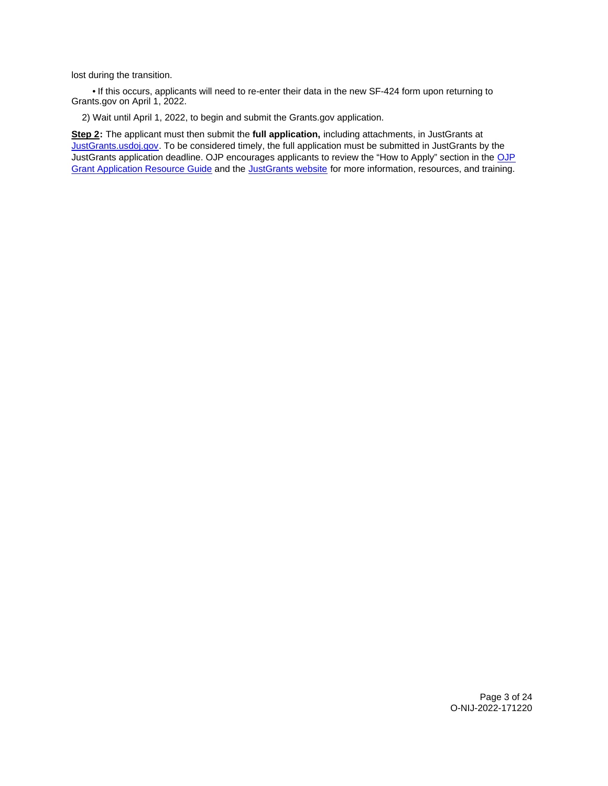lost during the transition.

 • If this occurs, applicants will need to re-enter their data in the new SF-424 form upon returning to [Grants.gov](https://Grants.gov) on April 1, 2022.

2) Wait until April 1, 2022, to begin and submit the [Grants.gov](https://Grants.gov) application.

**Step 2:** The applicant must then submit the **full application,** including attachments, in JustGrants at [JustGrants.usdoj.gov.](https://justicegrants.usdoj.gov/) To be considered timely, the full application must be submitted in JustGrants by the JustGrants application deadline. [OJP](https://www.ojp.gov/funding/apply/ojp-grant-application-resource-guide#apply) encourages applicants to review the "How to Apply" section in the OJP [Grant Application Resource Guide](https://www.ojp.gov/funding/apply/ojp-grant-application-resource-guide#apply) and the [JustGrants website](https://justicegrants.usdoj.gov/news) for more information, resources, and training.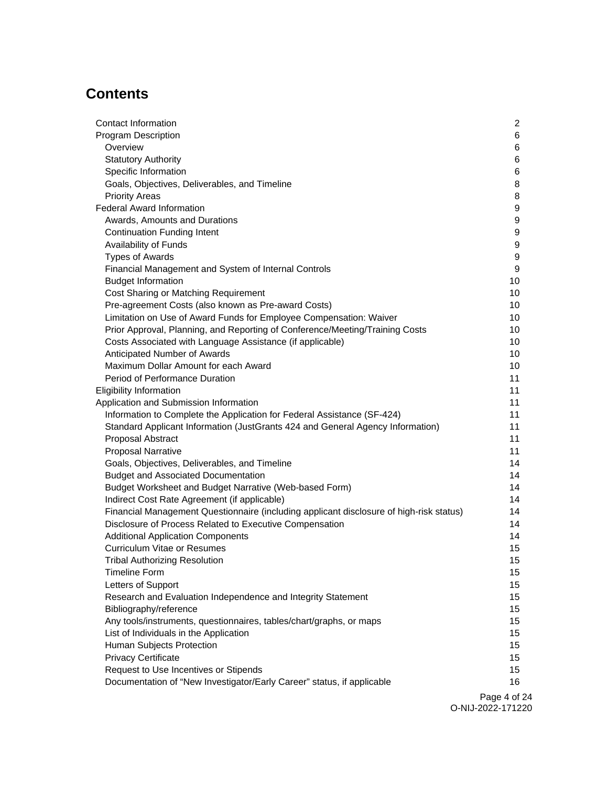# **Contents**

| Contact Information                                                                     | $\overline{2}$ |
|-----------------------------------------------------------------------------------------|----------------|
| <b>Program Description</b>                                                              | 6              |
| Overview                                                                                | 6              |
| <b>Statutory Authority</b>                                                              | 6              |
| Specific Information                                                                    | 6              |
| Goals, Objectives, Deliverables, and Timeline                                           | 8              |
| <b>Priority Areas</b>                                                                   | 8              |
| <b>Federal Award Information</b>                                                        | 9              |
| Awards, Amounts and Durations                                                           | 9              |
| <b>Continuation Funding Intent</b>                                                      | 9              |
| Availability of Funds                                                                   | 9              |
| <b>Types of Awards</b>                                                                  | 9              |
| Financial Management and System of Internal Controls                                    | 9              |
| <b>Budget Information</b>                                                               | 10             |
| Cost Sharing or Matching Requirement                                                    | 10             |
| Pre-agreement Costs (also known as Pre-award Costs)                                     | 10             |
| Limitation on Use of Award Funds for Employee Compensation: Waiver                      | 10             |
| Prior Approval, Planning, and Reporting of Conference/Meeting/Training Costs            | 10             |
| Costs Associated with Language Assistance (if applicable)                               | 10             |
| Anticipated Number of Awards                                                            | 10             |
| Maximum Dollar Amount for each Award                                                    | 10             |
| Period of Performance Duration                                                          | 11             |
| <b>Eligibility Information</b>                                                          | 11             |
| Application and Submission Information                                                  | 11             |
| Information to Complete the Application for Federal Assistance (SF-424)                 | 11             |
| Standard Applicant Information (JustGrants 424 and General Agency Information)          | 11             |
| Proposal Abstract                                                                       | 11             |
| <b>Proposal Narrative</b>                                                               | 11             |
| Goals, Objectives, Deliverables, and Timeline                                           | 14             |
| <b>Budget and Associated Documentation</b>                                              | 14             |
| Budget Worksheet and Budget Narrative (Web-based Form)                                  | 14             |
| Indirect Cost Rate Agreement (if applicable)                                            | 14             |
| Financial Management Questionnaire (including applicant disclosure of high-risk status) | 14             |
| Disclosure of Process Related to Executive Compensation                                 | 14             |
| <b>Additional Application Components</b>                                                | 14             |
| <b>Curriculum Vitae or Resumes</b>                                                      | 15             |
| <b>Tribal Authorizing Resolution</b>                                                    | 15             |
| <b>Timeline Form</b>                                                                    | 15             |
| Letters of Support                                                                      | 15             |
| Research and Evaluation Independence and Integrity Statement                            | 15             |
| Bibliography/reference                                                                  | 15             |
| Any tools/instruments, questionnaires, tables/chart/graphs, or maps                     | 15             |
| List of Individuals in the Application                                                  | 15             |
| Human Subjects Protection                                                               | 15             |
| <b>Privacy Certificate</b>                                                              | 15             |
| Request to Use Incentives or Stipends                                                   | 15             |
| Documentation of "New Investigator/Early Career" status, if applicable                  | 16             |
|                                                                                         |                |

Page 4 of 24 O-NIJ-2022-171220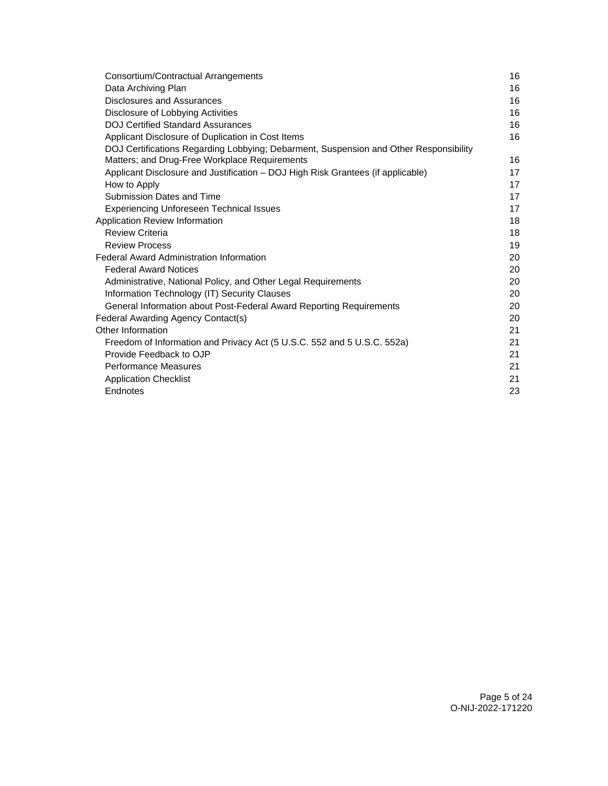| Consortium/Contractual Arrangements                                                   | 16 |
|---------------------------------------------------------------------------------------|----|
| Data Archiving Plan                                                                   | 16 |
| <b>Disclosures and Assurances</b>                                                     | 16 |
| Disclosure of Lobbying Activities                                                     | 16 |
| <b>DOJ Certified Standard Assurances</b>                                              | 16 |
| Applicant Disclosure of Duplication in Cost Items                                     | 16 |
| DOJ Certifications Regarding Lobbying; Debarment, Suspension and Other Responsibility |    |
| Matters; and Drug-Free Workplace Requirements                                         | 16 |
| Applicant Disclosure and Justification - DOJ High Risk Grantees (if applicable)       | 17 |
| How to Apply                                                                          | 17 |
| Submission Dates and Time                                                             | 17 |
| <b>Experiencing Unforeseen Technical Issues</b>                                       | 17 |
| Application Review Information                                                        | 18 |
| <b>Review Criteria</b>                                                                | 18 |
| <b>Review Process</b>                                                                 | 19 |
| <b>Federal Award Administration Information</b>                                       | 20 |
| <b>Federal Award Notices</b>                                                          | 20 |
| Administrative, National Policy, and Other Legal Requirements                         | 20 |
| Information Technology (IT) Security Clauses                                          | 20 |
| General Information about Post-Federal Award Reporting Requirements                   | 20 |
| Federal Awarding Agency Contact(s)                                                    | 20 |
| Other Information                                                                     | 21 |
| Freedom of Information and Privacy Act (5 U.S.C. 552 and 5 U.S.C. 552a)               | 21 |
| Provide Feedback to OJP                                                               | 21 |
| <b>Performance Measures</b>                                                           | 21 |
| <b>Application Checklist</b>                                                          | 21 |
| Endnotes                                                                              | 23 |
|                                                                                       |    |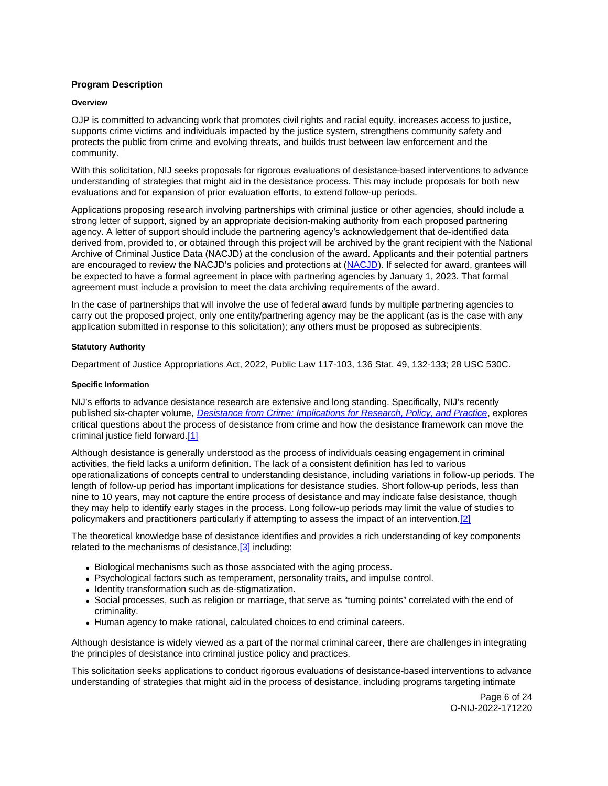## <span id="page-6-0"></span>**Program Description**

## **Overview**

OJP is committed to advancing work that promotes civil rights and racial equity, increases access to justice, supports crime victims and individuals impacted by the justice system, strengthens community safety and protects the public from crime and evolving threats, and builds trust between law enforcement and the community.

With this solicitation, NIJ seeks proposals for rigorous evaluations of desistance-based interventions to advance understanding of strategies that might aid in the desistance process. This may include proposals for both new evaluations and for expansion of prior evaluation efforts, to extend follow-up periods.

Applications proposing research involving partnerships with criminal justice or other agencies, should include a strong letter of support, signed by an appropriate decision-making authority from each proposed partnering agency. A letter of support should include the partnering agency's acknowledgement that de-identified data derived from, provided to, or obtained through this project will be archived by the grant recipient with the National Archive of Criminal Justice Data (NACJD) at the conclusion of the award. Applicants and their potential partners are encouraged to review the NACJD's policies and protections at [\(NACJD\)](https://www.icpsr.umich.edu/web/pages/NACJD/archiving/deposit-nij-data.html). If selected for award, grantees will be expected to have a formal agreement in place with partnering agencies by January 1, 2023. That formal agreement must include a provision to meet the data archiving requirements of the award.

In the case of partnerships that will involve the use of federal award funds by multiple partnering agencies to carry out the proposed project, only one entity/partnering agency may be the applicant (as is the case with any application submitted in response to this solicitation); any others must be proposed as subrecipients.

## **Statutory Authority**

Department of Justice Appropriations Act, 2022, Public Law 117-103, 136 Stat. 49, 132-133; 28 USC 530C.

## **Specific Information**

NIJ's efforts to advance desistance research are extensive and long standing. Specifically, NIJ's recently published six-chapter volume, [Desistance from Crime: Implications for Research, Policy, and Practice](https://nij.ojp.gov/desistance-from-crime), explores critical questions about the process of desistance from crime and how the desistance framework can move the criminal justice field forward[.\[1\]](#page-23-0) 

Although desistance is generally understood as the process of individuals ceasing engagement in criminal activities, the field lacks a uniform definition. The lack of a consistent definition has led to various operationalizations of concepts central to understanding desistance, including variations in follow-up periods. The length of follow-up period has important implications for desistance studies. Short follow-up periods, less than nine to 10 years, may not capture the entire process of desistance and may indicate false desistance, though they may help to identify early stages in the process. Long follow-up periods may limit the value of studies to policymakers and practitioners particularly if attempting to assess the impact of an intervention.[\[2\]](#page-23-0) 

The theoretical knowledge base of desistance identifies and provides a rich understanding of key components related to the mechanisms of desistance,<sup>[3]</sup> including:

- Biological mechanisms such as those associated with the aging process.
- Psychological factors such as temperament, personality traits, and impulse control.
- Identity transformation such as de-stigmatization.
- Social processes, such as religion or marriage, that serve as "turning points" correlated with the end of criminality.
- Human agency to make rational, calculated choices to end criminal careers.

Although desistance is widely viewed as a part of the normal criminal career, there are challenges in integrating the principles of desistance into criminal justice policy and practices.

This solicitation seeks applications to conduct rigorous evaluations of desistance-based interventions to advance understanding of strategies that might aid in the process of desistance, including programs targeting intimate

> Page 6 of 24 O-NIJ-2022-171220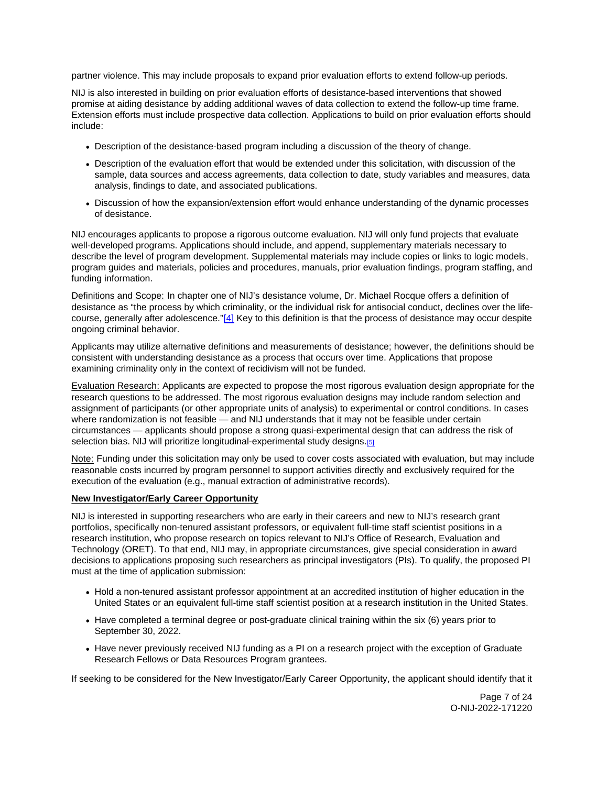partner violence. This may include proposals to expand prior evaluation efforts to extend follow-up periods.

NIJ is also interested in building on prior evaluation efforts of desistance-based interventions that showed promise at aiding desistance by adding additional waves of data collection to extend the follow-up time frame. Extension efforts must include prospective data collection. Applications to build on prior evaluation efforts should include:

- Description of the desistance-based program including a discussion of the theory of change.
- Description of the evaluation effort that would be extended under this solicitation, with discussion of the sample, data sources and access agreements, data collection to date, study variables and measures, data analysis, findings to date, and associated publications.
- Discussion of how the expansion/extension effort would enhance understanding of the dynamic processes of desistance.

NIJ encourages applicants to propose a rigorous outcome evaluation. NIJ will only fund projects that evaluate well-developed programs. Applications should include, and append, supplementary materials necessary to describe the level of program development. Supplemental materials may include copies or links to logic models, program guides and materials, policies and procedures, manuals, prior evaluation findings, program staffing, and funding information.

Definitions and Scope: In chapter one of NIJ's desistance volume, Dr. Michael Rocque offers a definition of desistance as "the process by which criminality, or the individual risk for antisocial conduct, declines over the lifecourse, generally after adolescence."[\[4\]](#page-23-0) Key to this definition is that the process of desistance may occur despite ongoing criminal behavior.

Applicants may utilize alternative definitions and measurements of desistance; however, the definitions should be consistent with understanding desistance as a process that occurs over time. Applications that propose examining criminality only in the context of recidivism will not be funded.

Evaluation Research: Applicants are expected to propose the most rigorous evaluation design appropriate for the research questions to be addressed. The most rigorous evaluation designs may include random selection and assignment of participants (or other appropriate units of analysis) to experimental or control conditions. In cases where randomization is not feasible — and NIJ understands that it may not be feasible under certain circumstances — applicants should propose a strong quasi-experimental design that can address the risk of selection bias. NIJ will prioritize longitudinal-experimental study designs.<sup>[5]</sup>

Note: Funding under this solicitation may only be used to cover costs associated with evaluation, but may include reasonable costs incurred by program personnel to support activities directly and exclusively required for the execution of the evaluation (e.g., manual extraction of administrative records).

## **New Investigator/Early Career Opportunity**

NIJ is interested in supporting researchers who are early in their careers and new to NIJ's research grant portfolios, specifically non-tenured assistant professors, or equivalent full-time staff scientist positions in a research institution, who propose research on topics relevant to NIJ's Office of Research, Evaluation and Technology (ORET). To that end, NIJ may, in appropriate circumstances, give special consideration in award decisions to applications proposing such researchers as principal investigators (PIs). To qualify, the proposed PI must at the time of application submission:

- Hold a non-tenured assistant professor appointment at an accredited institution of higher education in the United States or an equivalent full-time staff scientist position at a research institution in the United States.
- Have completed a terminal degree or post-graduate clinical training within the six (6) years prior to September 30, 2022.
- Have never previously received NIJ funding as a PI on a research project with the exception of Graduate Research Fellows or Data Resources Program grantees.

If seeking to be considered for the New Investigator/Early Career Opportunity, the applicant should identify that it

Page 7 of 24 O-NIJ-2022-171220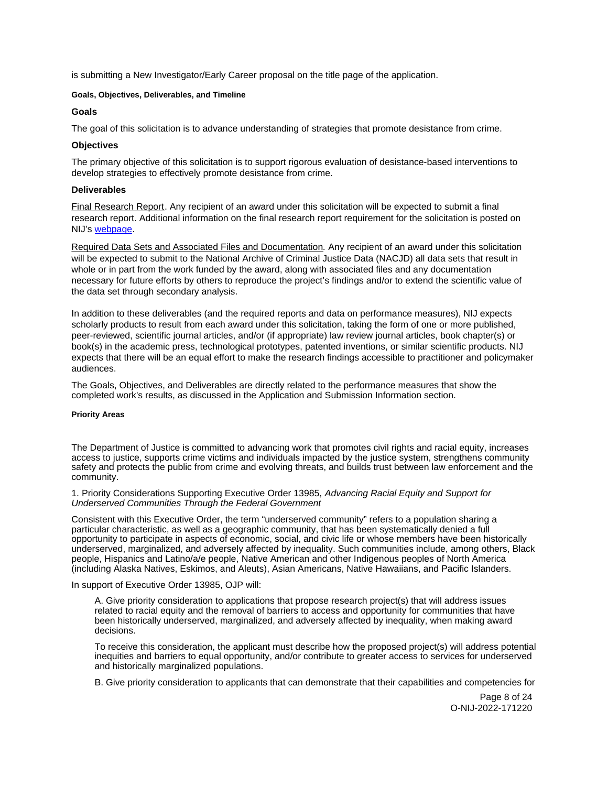<span id="page-8-0"></span>is submitting a New Investigator/Early Career proposal on the title page of the application.

## **Goals, Objectives, Deliverables, and Timeline**

## **Goals**

The goal of this solicitation is to advance understanding of strategies that promote desistance from crime.

## **Objectives**

The primary objective of this solicitation is to support rigorous evaluation of desistance-based interventions to develop strategies to effectively promote desistance from crime.

## **Deliverables**

Final Research Report. Any recipient of an award under this solicitation will be expected to submit a final research report. Additional information on the final research report requirement for the solicitation is posted on NIJ's [webpage.](https://nij.ojp.gov/funding/research-development-and-evaluation-grant-award-requirements#xp5fv)

Required Data Sets and Associated Files and Documentation. Any recipient of an award under this solicitation will be expected to submit to the National Archive of Criminal Justice Data (NACJD) all data sets that result in whole or in part from the work funded by the award, along with associated files and any documentation necessary for future efforts by others to reproduce the project's findings and/or to extend the scientific value of the data set through secondary analysis.

In addition to these deliverables (and the required reports and data on performance measures), NIJ expects scholarly products to result from each award under this solicitation, taking the form of one or more published, peer-reviewed, scientific journal articles, and/or (if appropriate) law review journal articles, book chapter(s) or book(s) in the academic press, technological prototypes, patented inventions, or similar scientific products. NIJ expects that there will be an equal effort to make the research findings accessible to practitioner and policymaker audiences.

The Goals, Objectives, and Deliverables are directly related to the performance measures that show the completed work's results, as discussed in the Application and Submission Information section.

## **Priority Areas**

The Department of Justice is committed to advancing work that promotes civil rights and racial equity, increases access to justice, supports crime victims and individuals impacted by the justice system, strengthens community safety and protects the public from crime and evolving threats, and builds trust between law enforcement and the community.

1. Priority Considerations Supporting Executive Order 13985, Advancing Racial Equity and Support for Underserved Communities Through the Federal Government

Consistent with this Executive Order, the term "underserved community" refers to a population sharing a particular characteristic, as well as a geographic community, that has been systematically denied a full opportunity to participate in aspects of economic, social, and civic life or whose members have been historically underserved, marginalized, and adversely affected by inequality. Such communities include, among others, Black people, Hispanics and Latino/a/e people, Native American and other Indigenous peoples of North America (including Alaska Natives, Eskimos, and Aleuts), Asian Americans, Native Hawaiians, and Pacific Islanders.

In support of Executive Order 13985, OJP will:

A. Give priority consideration to applications that propose research project(s) that will address issues related to racial equity and the removal of barriers to access and opportunity for communities that have been historically underserved, marginalized, and adversely affected by inequality, when making award decisions.

To receive this consideration, the applicant must describe how the proposed project(s) will address potential inequities and barriers to equal opportunity, and/or contribute to greater access to services for underserved and historically marginalized populations.

B. Give priority consideration to applicants that can demonstrate that their capabilities and competencies for

Page 8 of 24 O-NIJ-2022-171220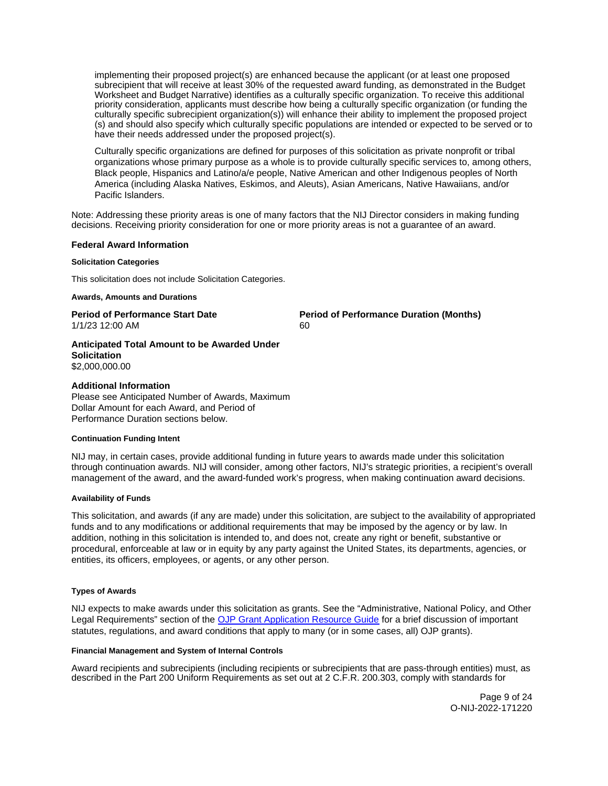<span id="page-9-0"></span>implementing their proposed project(s) are enhanced because the applicant (or at least one proposed subrecipient that will receive at least 30% of the requested award funding, as demonstrated in the Budget Worksheet and Budget Narrative) identifies as a culturally specific organization. To receive this additional priority consideration, applicants must describe how being a culturally specific organization (or funding the culturally specific subrecipient organization(s)) will enhance their ability to implement the proposed project (s) and should also specify which culturally specific populations are intended or expected to be served or to have their needs addressed under the proposed project(s).

Culturally specific organizations are defined for purposes of this solicitation as private nonprofit or tribal organizations whose primary purpose as a whole is to provide culturally specific services to, among others, Black people, Hispanics and Latino/a/e people, Native American and other Indigenous peoples of North America (including Alaska Natives, Eskimos, and Aleuts), Asian Americans, Native Hawaiians, and/or Pacific Islanders.

Note: Addressing these priority areas is one of many factors that the NIJ Director considers in making funding decisions. Receiving priority consideration for one or more priority areas is not a guarantee of an award.

#### **Federal Award Information**

## **Solicitation Categories**

This solicitation does not include Solicitation Categories.

#### **Awards, Amounts and Durations**

1/1/23 12:00 AM 60

**Period of Performance Start Date**  Period of Performance Duration (Months)

**Anticipated Total Amount to be Awarded Under Solicitation**  \$2,000,000.00

## **Additional Information**

Please see Anticipated Number of Awards, Maximum Dollar Amount for each Award, and Period of Performance Duration sections below.

#### **Continuation Funding Intent**

NIJ may, in certain cases, provide additional funding in future years to awards made under this solicitation through continuation awards. NIJ will consider, among other factors, NIJ's strategic priorities, a recipient's overall management of the award, and the award-funded work's progress, when making continuation award decisions.

## **Availability of Funds**

This solicitation, and awards (if any are made) under this solicitation, are subject to the availability of appropriated funds and to any modifications or additional requirements that may be imposed by the agency or by law. In addition, nothing in this solicitation is intended to, and does not, create any right or benefit, substantive or procedural, enforceable at law or in equity by any party against the United States, its departments, agencies, or entities, its officers, employees, or agents, or any other person.

## **Types of Awards**

NIJ expects to make awards under this solicitation as grants. See the "Administrative, National Policy, and Other Legal Requirements" section of the [OJP Grant Application Resource Guide](https://www.ojp.gov/funding/apply/ojp-grant-application-resource-guide#administrative) for a brief discussion of important statutes, regulations, and award conditions that apply to many (or in some cases, all) OJP grants).

## **Financial Management and System of Internal Controls**

Award recipients and subrecipients (including recipients or subrecipients that are pass-through entities) must, as described in the Part 200 Uniform Requirements as set out at 2 C.F.R. 200.303, comply with standards for

> Page 9 of 24 O-NIJ-2022-171220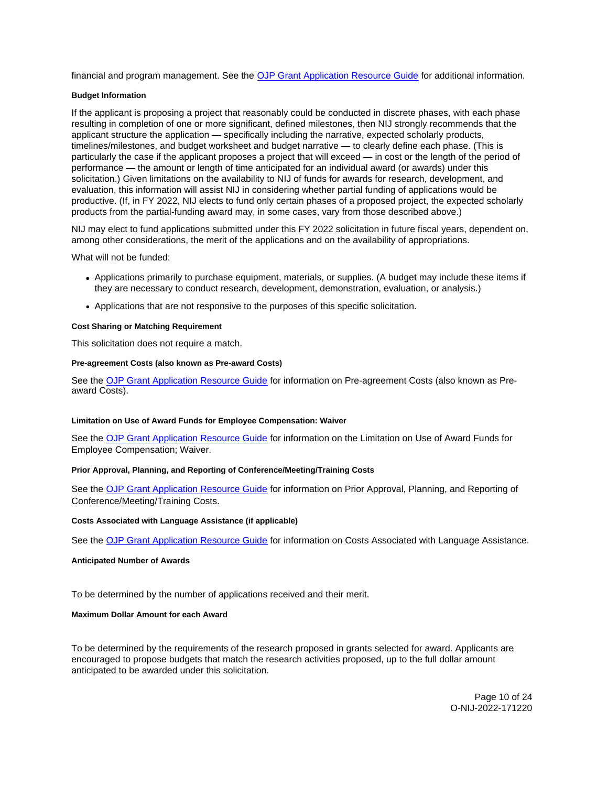<span id="page-10-0"></span>financial and program management. See the [OJP Grant Application Resource Guide](https://www.ojp.gov/funding/apply/ojp-grant-application-resource-guide#fm-internal-controls) for additional information.

## **Budget Information**

If the applicant is proposing a project that reasonably could be conducted in discrete phases, with each phase resulting in completion of one or more significant, defined milestones, then NIJ strongly recommends that the applicant structure the application — specifically including the narrative, expected scholarly products, timelines/milestones, and budget worksheet and budget narrative — to clearly define each phase. (This is particularly the case if the applicant proposes a project that will exceed — in cost or the length of the period of performance — the amount or length of time anticipated for an individual award (or awards) under this solicitation.) Given limitations on the availability to NIJ of funds for awards for research, development, and evaluation, this information will assist NIJ in considering whether partial funding of applications would be productive. (If, in FY 2022, NIJ elects to fund only certain phases of a proposed project, the expected scholarly products from the partial-funding award may, in some cases, vary from those described above.)

NIJ may elect to fund applications submitted under this FY 2022 solicitation in future fiscal years, dependent on, among other considerations, the merit of the applications and on the availability of appropriations.

What will not be funded:

- Applications primarily to purchase equipment, materials, or supplies. (A budget may include these items if they are necessary to conduct research, development, demonstration, evaluation, or analysis.)
- Applications that are not responsive to the purposes of this specific solicitation.

## **Cost Sharing or Matching Requirement**

This solicitation does not require a match.

## **Pre-agreement Costs (also known as Pre-award Costs)**

See the [OJP Grant Application Resource Guide](https://www.ojp.gov/funding/apply/ojp-grant-application-resource-guide#pre-agreement-costs) for information on Pre-agreement Costs (also known as Preaward Costs).

## **Limitation on Use of Award Funds for Employee Compensation: Waiver**

See the [OJP Grant Application Resource Guide](https://www.ojp.gov/funding/apply/ojp-grant-application-resource-guide#limitation-use-award) for information on the Limitation on Use of Award Funds for Employee Compensation; Waiver.

## **Prior Approval, Planning, and Reporting of Conference/Meeting/Training Costs**

See the [OJP Grant Application Resource Guide](https://www.ojp.gov/funding/apply/ojp-grant-application-resource-guide#prior-approval) for information on Prior Approval, Planning, and Reporting of Conference/Meeting/Training Costs.

## **Costs Associated with Language Assistance (if applicable)**

See the [OJP Grant Application Resource Guide](https://www.ojp.gov/funding/apply/ojp-grant-application-resource-guide#costs-associated) for information on Costs Associated with Language Assistance.

## **Anticipated Number of Awards**

To be determined by the number of applications received and their merit.

## **Maximum Dollar Amount for each Award**

To be determined by the requirements of the research proposed in grants selected for award. Applicants are encouraged to propose budgets that match the research activities proposed, up to the full dollar amount anticipated to be awarded under this solicitation.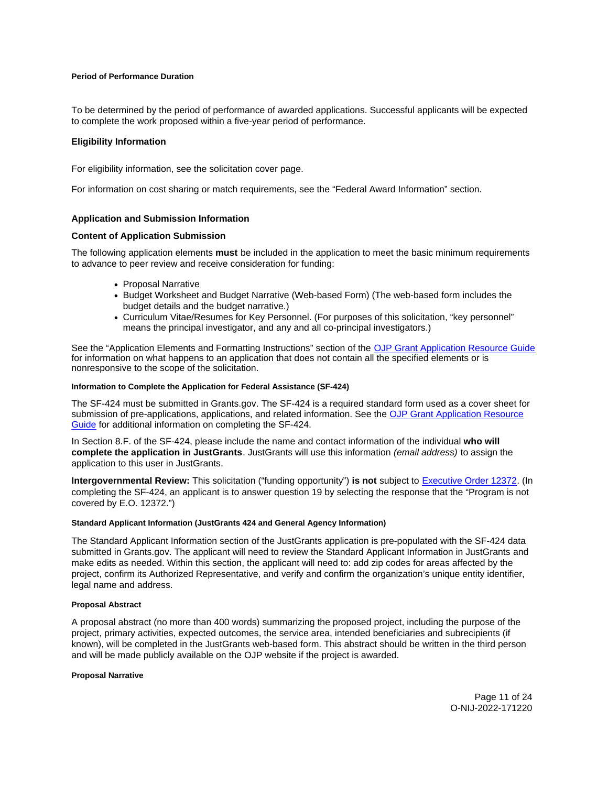## <span id="page-11-0"></span>**Period of Performance Duration**

To be determined by the period of performance of awarded applications. Successful applicants will be expected to complete the work proposed within a five-year period of performance.

## **Eligibility Information**

For eligibility information, see the solicitation cover page.

For information on cost sharing or match requirements, see the "Federal Award Information" section.

## **Application and Submission Information**

## **Content of Application Submission**

The following application elements **must** be included in the application to meet the basic minimum requirements to advance to peer review and receive consideration for funding:

- Proposal Narrative
- Budget Worksheet and Budget Narrative (Web-based Form) (The web-based form includes the budget details and the budget narrative.)
- Curriculum Vitae/Resumes for Key Personnel. (For purposes of this solicitation, "key personnel" means the principal investigator, and any and all co-principal investigators.)

See the "Application Elements and Formatting Instructions" section of the [OJP Grant Application Resource Guide](https://www.ojp.gov/funding/apply/ojp-grant-application-resource-guide#application-elements)  for information on what happens to an application that does not contain all the specified elements or is nonresponsive to the scope of the solicitation.

## **Information to Complete the Application for Federal Assistance (SF-424)**

The SF-424 must be submitted in [Grants.gov](https://Grants.gov). The SF-424 is a required standard form used as a cover sheet for submission of pre-applications, applications, and related information. See the [OJP Grant Application Resource](https://www.ojp.gov/funding/apply/ojp-grant-application-resource-guide#complete-application)  [Guide](https://www.ojp.gov/funding/apply/ojp-grant-application-resource-guide#complete-application) for additional information on completing the SF-424.

In Section 8.F. of the SF-424, please include the name and contact information of the individual **who will complete the application in JustGrants**. JustGrants will use this information (email address) to assign the application to this user in JustGrants.

**Intergovernmental Review:** This solicitation ("funding opportunity") **is not** subject to [Executive Order 12372.](https://www.archives.gov/federal-register/codification/executive-order/12372.html) (In completing the SF-424, an applicant is to answer question 19 by selecting the response that the "Program is not covered by E.O. 12372.")

## **Standard Applicant Information (JustGrants 424 and General Agency Information)**

The Standard Applicant Information section of the JustGrants application is pre-populated with the SF-424 data submitted in [Grants.gov.](https://Grants.gov) The applicant will need to review the Standard Applicant Information in JustGrants and make edits as needed. Within this section, the applicant will need to: add zip codes for areas affected by the project, confirm its Authorized Representative, and verify and confirm the organization's unique entity identifier, legal name and address.

## **Proposal Abstract**

A proposal abstract (no more than 400 words) summarizing the proposed project, including the purpose of the project, primary activities, expected outcomes, the service area, intended beneficiaries and subrecipients (if known), will be completed in the JustGrants web-based form. This abstract should be written in the third person and will be made publicly available on the OJP website if the project is awarded.

## **Proposal Narrative**

Page 11 of 24 O-NIJ-2022-171220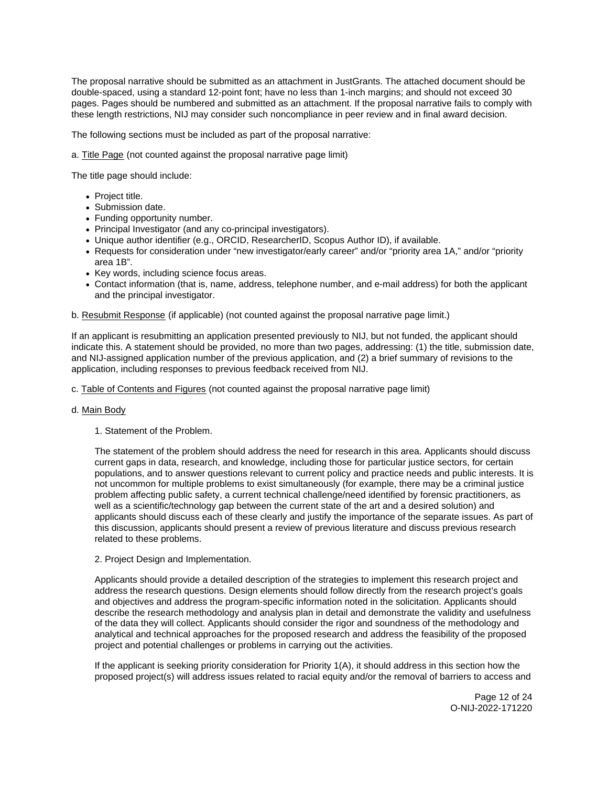The proposal narrative should be submitted as an attachment in JustGrants. The attached document should be double-spaced, using a standard 12-point font; have no less than 1-inch margins; and should not exceed 30 pages. Pages should be numbered and submitted as an attachment. If the proposal narrative fails to comply with these length restrictions, NIJ may consider such noncompliance in peer review and in final award decision.

The following sections must be included as part of the proposal narrative:

a. Title Page (not counted against the proposal narrative page limit)

The title page should include:

- Project title.
- Submission date.
- Funding opportunity number.
- Principal Investigator (and any co-principal investigators).
- Unique author identifier (e.g., ORCID, ResearcherID, Scopus Author ID), if available.
- Requests for consideration under "new investigator/early career" and/or "priority area 1A," and/or "priority area 1B".
- Key words, including science focus areas.
- Contact information (that is, name, address, telephone number, and e-mail address) for both the applicant and the principal investigator.

b. Resubmit Response (if applicable) (not counted against the proposal narrative page limit.)

If an applicant is resubmitting an application presented previously to NIJ, but not funded, the applicant should indicate this. A statement should be provided, no more than two pages, addressing: (1) the title, submission date, and NIJ-assigned application number of the previous application, and (2) a brief summary of revisions to the application, including responses to previous feedback received from NIJ.

c. Table of Contents and Figures (not counted against the proposal narrative page limit)

## d. Main Body

1. Statement of the Problem.

The statement of the problem should address the need for research in this area. Applicants should discuss current gaps in data, research, and knowledge, including those for particular justice sectors, for certain populations, and to answer questions relevant to current policy and practice needs and public interests. It is not uncommon for multiple problems to exist simultaneously (for example, there may be a criminal justice problem affecting public safety, a current technical challenge/need identified by forensic practitioners, as well as a scientific/technology gap between the current state of the art and a desired solution) and applicants should discuss each of these clearly and justify the importance of the separate issues. As part of this discussion, applicants should present a review of previous literature and discuss previous research related to these problems.

2. Project Design and Implementation.

Applicants should provide a detailed description of the strategies to implement this research project and address the research questions. Design elements should follow directly from the research project's goals and objectives and address the program-specific information noted in the solicitation. Applicants should describe the research methodology and analysis plan in detail and demonstrate the validity and usefulness of the data they will collect. Applicants should consider the rigor and soundness of the methodology and analytical and technical approaches for the proposed research and address the feasibility of the proposed project and potential challenges or problems in carrying out the activities.

If the applicant is seeking priority consideration for Priority 1(A), it should address in this section how the proposed project(s) will address issues related to racial equity and/or the removal of barriers to access and

> Page 12 of 24 O-NIJ-2022-171220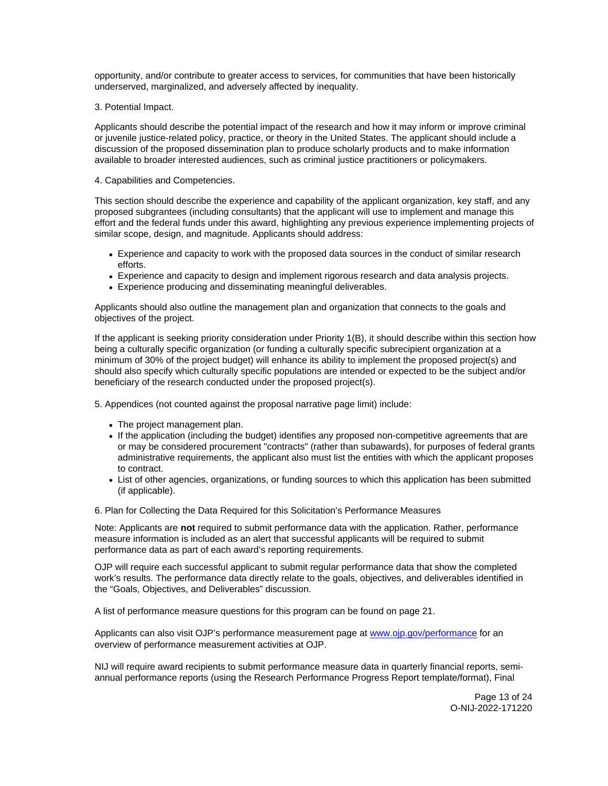opportunity, and/or contribute to greater access to services, for communities that have been historically underserved, marginalized, and adversely affected by inequality.

## 3. Potential Impact.

Applicants should describe the potential impact of the research and how it may inform or improve criminal or juvenile justice-related policy, practice, or theory in the United States. The applicant should include a discussion of the proposed dissemination plan to produce scholarly products and to make information available to broader interested audiences, such as criminal justice practitioners or policymakers.

## 4. Capabilities and Competencies.

This section should describe the experience and capability of the applicant organization, key staff, and any proposed subgrantees (including consultants) that the applicant will use to implement and manage this effort and the federal funds under this award, highlighting any previous experience implementing projects of similar scope, design, and magnitude. Applicants should address:

- Experience and capacity to work with the proposed data sources in the conduct of similar research efforts.
- Experience and capacity to design and implement rigorous research and data analysis projects.
- Experience producing and disseminating meaningful deliverables.

Applicants should also outline the management plan and organization that connects to the goals and objectives of the project.

If the applicant is seeking priority consideration under Priority 1(B), it should describe within this section how being a culturally specific organization (or funding a culturally specific subrecipient organization at a minimum of 30% of the project budget) will enhance its ability to implement the proposed project(s) and should also specify which culturally specific populations are intended or expected to be the subject and/or beneficiary of the research conducted under the proposed project(s).

5. Appendices (not counted against the proposal narrative page limit) include:

- The project management plan.
- If the application (including the budget) identifies any proposed non-competitive agreements that are or may be considered procurement "contracts" (rather than subawards), for purposes of federal grants administrative requirements, the applicant also must list the entities with which the applicant proposes to contract.
- List of other agencies, organizations, or funding sources to which this application has been submitted (if applicable).

6. Plan for Collecting the Data Required for this Solicitation's Performance Measures

Note: Applicants are **not** required to submit performance data with the application. Rather, performance measure information is included as an alert that successful applicants will be required to submit performance data as part of each award's reporting requirements.

OJP will require each successful applicant to submit regular performance data that show the completed work's results. The performance data directly relate to the goals, objectives, and deliverables identified in the "Goals, Objectives, and Deliverables" discussion.

A list of performance measure questions for this program can be found on page 21.

Applicants can also visit OJP's performance measurement page at [www.ojp.gov/performance](https://www.ojp.gov/performance) for an overview of performance measurement activities at OJP.

NIJ will require award recipients to submit performance measure data in quarterly financial reports, semiannual performance reports (using the Research Performance Progress Report template/format), Final

> Page 13 of 24 O-NIJ-2022-171220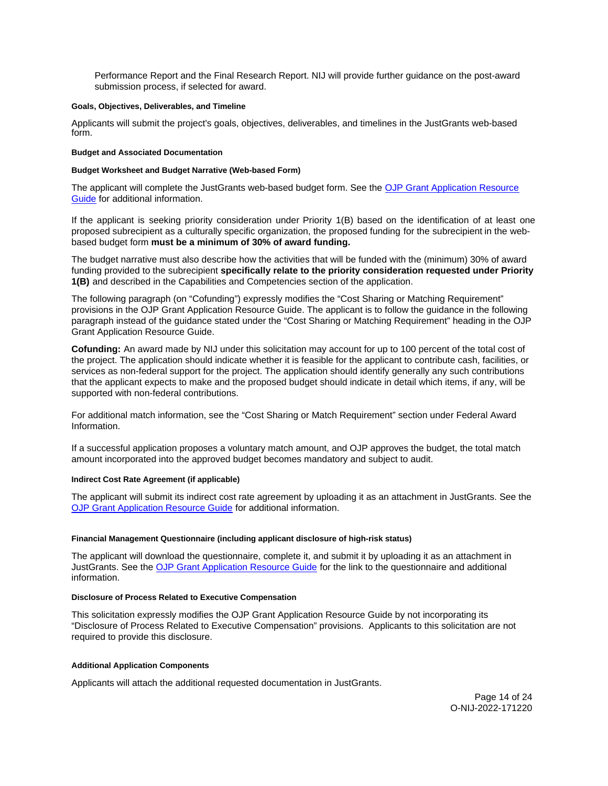<span id="page-14-0"></span>Performance Report and the Final Research Report. NIJ will provide further guidance on the post-award submission process, if selected for award.

## **Goals, Objectives, Deliverables, and Timeline**

Applicants will submit the project's goals, objectives, deliverables, and timelines in the JustGrants web-based form.

## **Budget and Associated Documentation**

## **Budget Worksheet and Budget Narrative (Web-based Form)**

The applicant will complete the JustGrants web-based budget form. See the [OJP Grant Application Resource](https://www.ojp.gov/funding/apply/ojp-grant-application-resource-guide#budget-prep)  [Guide](https://www.ojp.gov/funding/apply/ojp-grant-application-resource-guide#budget-prep) for additional information.

If the applicant is seeking priority consideration under Priority 1(B) based on the identification of at least one proposed subrecipient as a culturally specific organization, the proposed funding for the subrecipient in the webbased budget form **must be a minimum of 30% of award funding.** 

The budget narrative must also describe how the activities that will be funded with the (minimum) 30% of award funding provided to the subrecipient **specifically relate to the priority consideration requested under Priority 1(B)** and described in the Capabilities and Competencies section of the application.

The following paragraph (on "Cofunding") expressly modifies the "Cost Sharing or Matching Requirement" provisions in the OJP Grant Application Resource Guide. The applicant is to follow the guidance in the following paragraph instead of the guidance stated under the "Cost Sharing or Matching Requirement" heading in the OJP Grant Application Resource Guide.

**Cofunding:** An award made by NIJ under this solicitation may account for up to 100 percent of the total cost of the project. The application should indicate whether it is feasible for the applicant to contribute cash, facilities, or services as non-federal support for the project. The application should identify generally any such contributions that the applicant expects to make and the proposed budget should indicate in detail which items, if any, will be supported with non-federal contributions.

For additional match information, see the "Cost Sharing or Match Requirement" section under Federal Award Information.

If a successful application proposes a voluntary match amount, and OJP approves the budget, the total match amount incorporated into the approved budget becomes mandatory and subject to audit.

## **Indirect Cost Rate Agreement (if applicable)**

The applicant will submit its indirect cost rate agreement by uploading it as an attachment in JustGrants. See the [OJP Grant Application Resource Guide](https://www.ojp.gov/funding/apply/ojp-grant-application-resource-guide#indirect-cost) for additional information.

## **Financial Management Questionnaire (including applicant disclosure of high-risk status)**

The applicant will download the questionnaire, complete it, and submit it by uploading it as an attachment in JustGrants. See the [OJP Grant Application Resource Guide](https://www.ojp.gov/funding/apply/ojp-grant-application-resource-guide#fm-internal-controls-questionnaire) for the link to the questionnaire and additional information.

## **Disclosure of Process Related to Executive Compensation**

This solicitation expressly modifies the OJP Grant Application Resource Guide by not incorporating its "Disclosure of Process Related to Executive Compensation" provisions. Applicants to this solicitation are not required to provide this disclosure.

## **Additional Application Components**

Applicants will attach the additional requested documentation in JustGrants.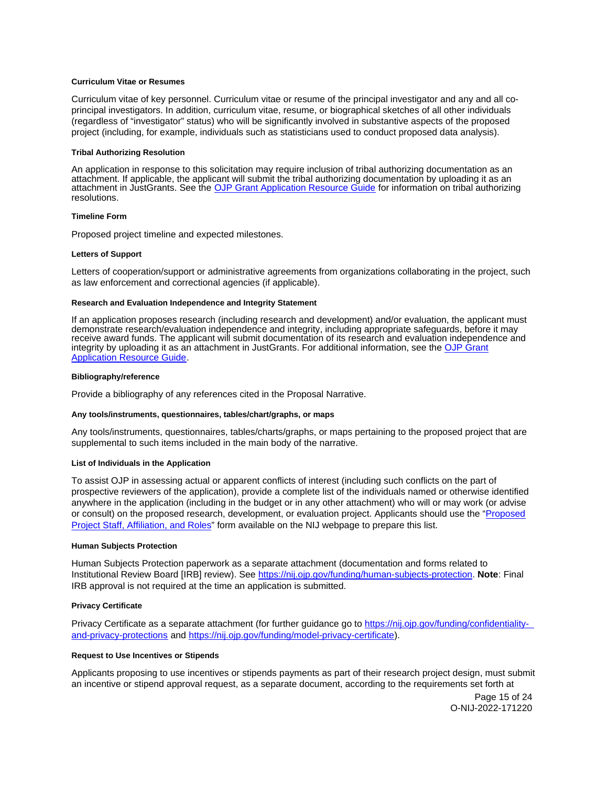## <span id="page-15-0"></span>**Curriculum Vitae or Resumes**

Curriculum vitae of key personnel. Curriculum vitae or resume of the principal investigator and any and all coprincipal investigators. In addition, curriculum vitae, resume, or biographical sketches of all other individuals (regardless of "investigator" status) who will be significantly involved in substantive aspects of the proposed project (including, for example, individuals such as statisticians used to conduct proposed data analysis).

## **Tribal Authorizing Resolution**

An application in response to this solicitation may require inclusion of tribal authorizing documentation as an attachment. If applicable, the applicant will submit the tribal authorizing documentation by uploading it as an attachment in JustGrants. See the [OJP Grant Application Resource Guide](https://www.ojp.gov/funding/apply/ojp-grant-application-resource-guide#tribal-authorizing-resolution) for information on tribal authorizing resolutions.

#### **Timeline Form**

Proposed project timeline and expected milestones.

## **Letters of Support**

Letters of cooperation/support or administrative agreements from organizations collaborating in the project, such as law enforcement and correctional agencies (if applicable).

#### **Research and Evaluation Independence and Integrity Statement**

If an application proposes research (including research and development) and/or evaluation, the applicant must demonstrate research/evaluation independence and integrity, including appropriate safeguards, before it may receive award funds. The applicant will submit documentation of its research and evaluation independence and integrity by uploading it as an attachment in JustGrants. For additional information, see the [OJP Grant](https://www.ojp.gov/funding/apply/ojp-grant-application-resource-guide#research-evaluation)  [Application Resource Guide.](https://www.ojp.gov/funding/apply/ojp-grant-application-resource-guide#research-evaluation)

#### **Bibliography/reference**

Provide a bibliography of any references cited in the Proposal Narrative.

## **Any tools/instruments, questionnaires, tables/chart/graphs, or maps**

Any tools/instruments, questionnaires, tables/charts/graphs, or maps pertaining to the proposed project that are supplemental to such items included in the main body of the narrative.

## **List of Individuals in the Application**

To assist OJP in assessing actual or apparent conflicts of interest (including such conflicts on the part of prospective reviewers of the application), provide a complete list of the individuals named or otherwise identified anywhere in the application (including in the budget or in any other attachment) who will or may work (or advise or consult) on the proposed research, development, or evaluation project. Applicants should use the ["Proposed](http://nij.ojp.gov/sites/g/files/xyckuh171/files/media/document/nij-project-staff-template.xlsx)  [Project Staff, Affiliation, and Roles"](http://nij.ojp.gov/sites/g/files/xyckuh171/files/media/document/nij-project-staff-template.xlsx) form available on the NIJ webpage to prepare this list.

## **Human Subjects Protection**

Human Subjects Protection paperwork as a separate attachment (documentation and forms related to Institutional Review Board [IRB] review). See [https://nij.ojp.gov/funding/human-subjects-protection.](https://nij.ojp.gov/funding/human-subjects-protection) **Note**: Final IRB approval is not required at the time an application is submitted.

## **Privacy Certificate**

Privacy Certificate as a separate attachment (for further guidance go to [https://nij.ojp.gov/funding/confidentiality](https://nij.ojp.gov/funding/confidentiality-and-privacy-protections)[and-privacy-protections](https://nij.ojp.gov/funding/confidentiality-and-privacy-protections) and [https://nij.ojp.gov/funding/model-privacy-certificate\)](https://nij.ojp.gov/funding/model-privacy-certificate).

## **Request to Use Incentives or Stipends**

Applicants proposing to use incentives or stipends payments as part of their research project design, must submit an incentive or stipend approval request, as a separate document, according to the requirements set forth at

> Page 15 of 24 O-NIJ-2022-171220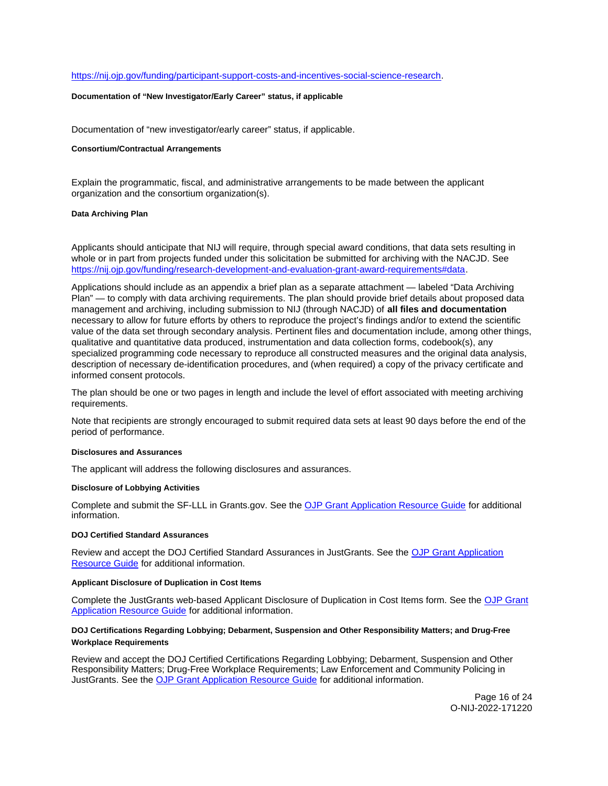## <span id="page-16-0"></span>[https://nij.ojp.gov/funding/participant-support-costs-and-incentives-social-science-research.](https://nij.ojp.gov/funding/participant-support-costs-and-incentives-social-science-research)

## **Documentation of "New Investigator/Early Career" status, if applicable**

Documentation of "new investigator/early career" status, if applicable.

#### **Consortium/Contractual Arrangements**

Explain the programmatic, fiscal, and administrative arrangements to be made between the applicant organization and the consortium organization(s).

#### **Data Archiving Plan**

Applicants should anticipate that NIJ will require, through special award conditions, that data sets resulting in whole or in part from projects funded under this solicitation be submitted for archiving with the NACJD. See [https://nij.ojp.gov/funding/research-development-and-evaluation-grant-award-requirements#data.](https://nij.ojp.gov/funding/research-development-and-evaluation-grant-award-requirements#data)

Applications should include as an appendix a brief plan as a separate attachment — labeled "Data Archiving Plan" — to comply with data archiving requirements. The plan should provide brief details about proposed data management and archiving, including submission to NIJ (through NACJD) of **all files and documentation**  necessary to allow for future efforts by others to reproduce the project's findings and/or to extend the scientific value of the data set through secondary analysis. Pertinent files and documentation include, among other things, qualitative and quantitative data produced, instrumentation and data collection forms, codebook(s), any specialized programming code necessary to reproduce all constructed measures and the original data analysis, description of necessary de-identification procedures, and (when required) a copy of the privacy certificate and informed consent protocols.

The plan should be one or two pages in length and include the level of effort associated with meeting archiving requirements.

Note that recipients are strongly encouraged to submit required data sets at least 90 days before the end of the period of performance.

#### **Disclosures and Assurances**

The applicant will address the following disclosures and assurances.

## **Disclosure of Lobbying Activities**

Complete and submit the SF-LLL in [Grants.gov.](https://Grants.gov) See the [OJP Grant Application Resource Guide](https://www.ojp.gov/funding/apply/ojp-grant-application-resource-guide#disclosure-lobby) for additional information.

## **DOJ Certified Standard Assurances**

Review and accept the DOJ Certified Standard Assurances in JustGrants. See the [OJP Grant Application](https://www.ojp.gov/funding/apply/ojp-grant-application-resource-guide#administrative)  [Resource Guide](https://www.ojp.gov/funding/apply/ojp-grant-application-resource-guide#administrative) for additional information.

## **Applicant Disclosure of Duplication in Cost Items**

Complete the JustGrants web-based Applicant Disclosure of Duplication in Cost Items form. See the [OJP Grant](https://www.ojp.gov/funding/apply/ojp-grant-application-resource-guide#applicant-disclosure-pending-applications)  [Application Resource Guide](https://www.ojp.gov/funding/apply/ojp-grant-application-resource-guide#applicant-disclosure-pending-applications) for additional information.

## **DOJ Certifications Regarding Lobbying; Debarment, Suspension and Other Responsibility Matters; and Drug-Free Workplace Requirements**

Review and accept the DOJ Certified Certifications Regarding Lobbying; Debarment, Suspension and Other Responsibility Matters; Drug-Free Workplace Requirements; Law Enforcement and Community Policing in JustGrants. See the [OJP Grant Application Resource Guide](https://www.ojp.gov/funding/apply/ojp-grant-application-resource-guide#administrative) for additional information.

> Page 16 of 24 O-NIJ-2022-171220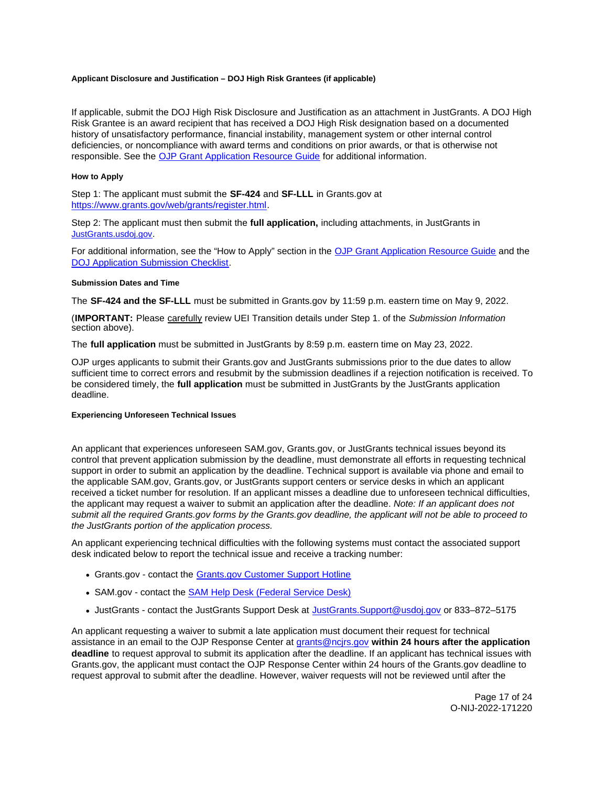## <span id="page-17-0"></span>**Applicant Disclosure and Justification – DOJ High Risk Grantees (if applicable)**

If applicable, submit the DOJ High Risk Disclosure and Justification as an attachment in JustGrants. A DOJ High Risk Grantee is an award recipient that has received a DOJ High Risk designation based on a documented history of unsatisfactory performance, financial instability, management system or other internal control deficiencies, or noncompliance with award terms and conditions on prior awards, or that is otherwise not responsible. See the [OJP Grant Application Resource Guide](https://www.ojp.gov/funding/apply/ojp-grant-application-resource-guide) for additional information.

## **How to Apply**

Step 1: The applicant must submit the **SF-424** and **SF-LLL** in [Grants.gov](https://Grants.gov) at [https://www.grants.gov/web/grants/register.html.](https://www.grants.gov/web/grants/register.html)

Step 2: The applicant must then submit the **full application,** including attachments, in JustGrants in [JustGrants.usdoj.gov.](https://justicegrants.usdoj.gov/)

For additional information, see the "How to Apply" section in the [OJP Grant Application Resource Guide](https://www.ojp.gov/funding/apply/ojp-grant-application-resource-guide#apply) and the [DOJ Application Submission Checklist.](https://justicegrants.usdoj.gov/sites/g/files/xyckuh296/files/media/document/appln-submission-checklist.pdf)

## **Submission Dates and Time**

The **SF-424 and the SF-LLL** must be submitted in [Grants.gov](https://Grants.gov) by 11:59 p.m. eastern time on May 9, 2022.

(**IMPORTANT:** Please carefully review UEI Transition details under Step 1. of the Submission Information section above).

The **full application** must be submitted in JustGrants by 8:59 p.m. eastern time on May 23, 2022.

OJP urges applicants to submit their [Grants.gov](https://Grants.gov) and JustGrants submissions prior to the due dates to allow sufficient time to correct errors and resubmit by the submission deadlines if a rejection notification is received. To be considered timely, the **full application** must be submitted in JustGrants by the JustGrants application deadline.

## **Experiencing Unforeseen Technical Issues**

An applicant that experiences unforeseen SAM.gov, [Grants.gov,](https://Grants.gov) or JustGrants technical issues beyond its control that prevent application submission by the deadline, must demonstrate all efforts in requesting technical support in order to submit an application by the deadline. Technical support is available via phone and email to the applicable SAM.gov, [Grants.gov,](https://Grants.gov) or JustGrants support centers or service desks in which an applicant received a ticket number for resolution. If an applicant misses a deadline due to unforeseen technical difficulties, the applicant may request a waiver to submit an application after the deadline. Note: If an applicant does not submit all the required [Grants.gov](https://Grants.gov) forms by the [Grants.gov](https://Grants.gov) deadline, the applicant will not be able to proceed to the JustGrants portion of the application process.

An applicant experiencing technical difficulties with the following systems must contact the associated support desk indicated below to report the technical issue and receive a tracking number:

- [Grants.gov](https://Grants.gov)  contact the [Grants.gov Customer Support Hotline](https://www.grants.gov/web/grants/support.html)
- SAM.gov contact the [SAM Help Desk \(Federal Service Desk\)](https://www.fsd.gov/gsafsd_sp)
- JustGrants contact the JustGrants Support Desk at [JustGrants.Support@usdoj.gov](mailto:JustGrants.Support@usdoj.gov) or 833–872–5175

An applicant requesting a waiver to submit a late application must document their request for technical assistance in an email to the OJP Response Center at [grants@ncjrs.gov](mailto:grants@ncjrs.gov) **within 24 hours after the application deadline** to request approval to submit its application after the deadline. If an applicant has technical issues with [Grants.gov,](https://Grants.gov) the applicant must contact the OJP Response Center within 24 hours of the [Grants.gov](https://Grants.gov) deadline to request approval to submit after the deadline. However, waiver requests will not be reviewed until after the

> Page 17 of 24 O-NIJ-2022-171220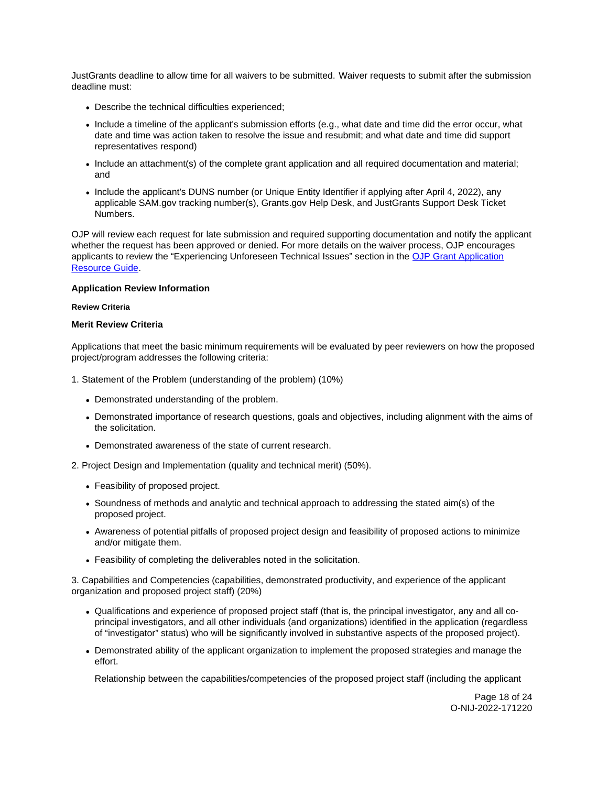<span id="page-18-0"></span>JustGrants deadline to allow time for all waivers to be submitted. Waiver requests to submit after the submission deadline must:

- Describe the technical difficulties experienced;
- Include a timeline of the applicant's submission efforts (e.g., what date and time did the error occur, what date and time was action taken to resolve the issue and resubmit; and what date and time did support representatives respond)
- Include an attachment(s) of the complete grant application and all required documentation and material; and
- Include the applicant's DUNS number (or Unique Entity Identifier if applying after April 4, 2022), any applicable SAM.gov tracking number(s), [Grants.gov](https://Grants.gov) Help Desk, and JustGrants Support Desk Ticket Numbers.

OJP will review each request for late submission and required supporting documentation and notify the applicant whether the request has been approved or denied. For more details on the waiver process, OJP encourages applicants to review the "Experiencing Unforeseen Technical Issues" section in the [OJP Grant Application](https://www.ojp.gov/funding/apply/ojp-grant-application-resource-guide#experiencing-unforeseen-technical-issues)  [Resource Guide.](https://www.ojp.gov/funding/apply/ojp-grant-application-resource-guide#experiencing-unforeseen-technical-issues)

## **Application Review Information**

## **Review Criteria**

## **Merit Review Criteria**

Applications that meet the basic minimum requirements will be evaluated by peer reviewers on how the proposed project/program addresses the following criteria:

- 1. Statement of the Problem (understanding of the problem) (10%)
	- Demonstrated understanding of the problem.
	- Demonstrated importance of research questions, goals and objectives, including alignment with the aims of the solicitation.
	- Demonstrated awareness of the state of current research.
- 2. Project Design and Implementation (quality and technical merit) (50%).
	- Feasibility of proposed project.
	- Soundness of methods and analytic and technical approach to addressing the stated aim(s) of the proposed project.
	- Awareness of potential pitfalls of proposed project design and feasibility of proposed actions to minimize and/or mitigate them.
	- Feasibility of completing the deliverables noted in the solicitation.

3. Capabilities and Competencies (capabilities, demonstrated productivity, and experience of the applicant organization and proposed project staff) (20%)

- Qualifications and experience of proposed project staff (that is, the principal investigator, any and all coprincipal investigators, and all other individuals (and organizations) identified in the application (regardless of "investigator" status) who will be significantly involved in substantive aspects of the proposed project).
- Demonstrated ability of the applicant organization to implement the proposed strategies and manage the effort.

Relationship between the capabilities/competencies of the proposed project staff (including the applicant

Page 18 of 24 O-NIJ-2022-171220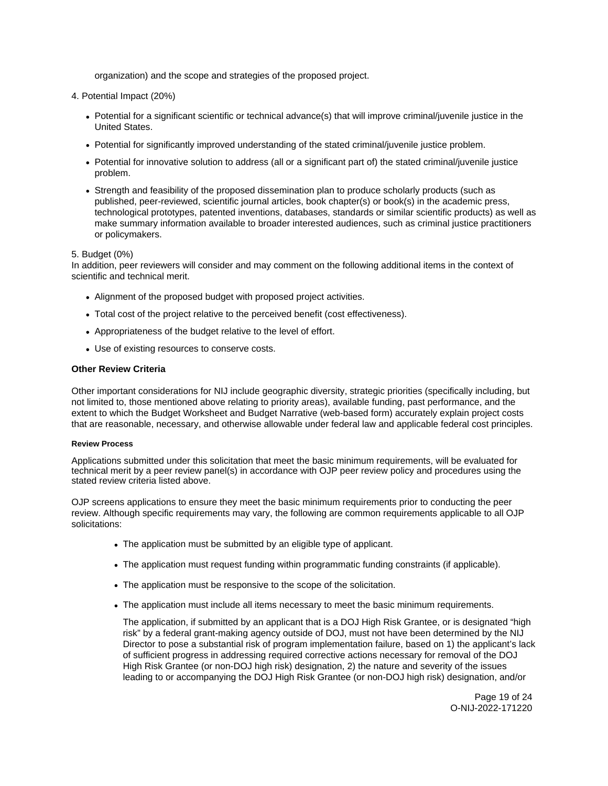organization) and the scope and strategies of the proposed project.

- <span id="page-19-0"></span>4. Potential Impact (20%)
	- Potential for a significant scientific or technical advance(s) that will improve criminal/juvenile justice in the United States.
	- Potential for significantly improved understanding of the stated criminal/juvenile justice problem.
	- Potential for innovative solution to address (all or a significant part of) the stated criminal/juvenile justice problem.
	- Strength and feasibility of the proposed dissemination plan to produce scholarly products (such as published, peer-reviewed, scientific journal articles, book chapter(s) or book(s) in the academic press, technological prototypes, patented inventions, databases, standards or similar scientific products) as well as make summary information available to broader interested audiences, such as criminal justice practitioners or policymakers.

## 5. Budget (0%)

In addition, peer reviewers will consider and may comment on the following additional items in the context of scientific and technical merit.

- Alignment of the proposed budget with proposed project activities.
- Total cost of the project relative to the perceived benefit (cost effectiveness).
- Appropriateness of the budget relative to the level of effort.
- Use of existing resources to conserve costs.

## **Other Review Criteria**

Other important considerations for NIJ include geographic diversity, strategic priorities (specifically including, but not limited to, those mentioned above relating to priority areas), available funding, past performance, and the extent to which the Budget Worksheet and Budget Narrative (web-based form) accurately explain project costs that are reasonable, necessary, and otherwise allowable under federal law and applicable federal cost principles.

## **Review Process**

Applications submitted under this solicitation that meet the basic minimum requirements, will be evaluated for technical merit by a peer review panel(s) in accordance with OJP peer review policy and procedures using the stated review criteria listed above.

OJP screens applications to ensure they meet the basic minimum requirements prior to conducting the peer review. Although specific requirements may vary, the following are common requirements applicable to all OJP solicitations:

- The application must be submitted by an eligible type of applicant.
- The application must request funding within programmatic funding constraints (if applicable).
- The application must be responsive to the scope of the solicitation.
- The application must include all items necessary to meet the basic minimum requirements.

The application, if submitted by an applicant that is a DOJ High Risk Grantee, or is designated "high risk" by a federal grant-making agency outside of DOJ, must not have been determined by the NIJ Director to pose a substantial risk of program implementation failure, based on 1) the applicant's lack of sufficient progress in addressing required corrective actions necessary for removal of the DOJ High Risk Grantee (or non-DOJ high risk) designation, 2) the nature and severity of the issues leading to or accompanying the DOJ High Risk Grantee (or non-DOJ high risk) designation, and/or

> Page 19 of 24 O-NIJ-2022-171220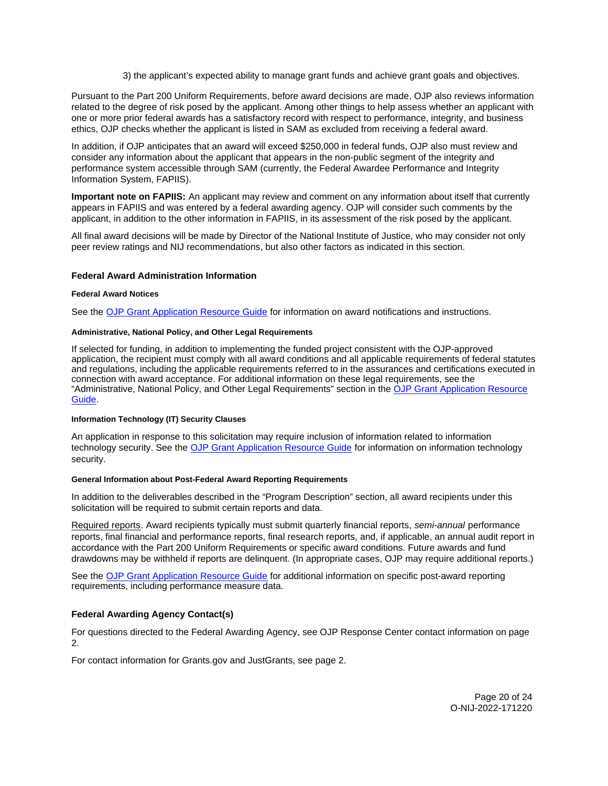3) the applicant's expected ability to manage grant funds and achieve grant goals and objectives.

<span id="page-20-0"></span>Pursuant to the Part 200 Uniform Requirements, before award decisions are made, OJP also reviews information related to the degree of risk posed by the applicant. Among other things to help assess whether an applicant with one or more prior federal awards has a satisfactory record with respect to performance, integrity, and business ethics, OJP checks whether the applicant is listed in SAM as excluded from receiving a federal award.

In addition, if OJP anticipates that an award will exceed \$250,000 in federal funds, OJP also must review and consider any information about the applicant that appears in the non-public segment of the integrity and performance system accessible through SAM (currently, the Federal Awardee Performance and Integrity Information System, FAPIIS).

**Important note on FAPIIS:** An applicant may review and comment on any information about itself that currently appears in FAPIIS and was entered by a federal awarding agency. OJP will consider such comments by the applicant, in addition to the other information in FAPIIS, in its assessment of the risk posed by the applicant.

All final award decisions will be made by Director of the National Institute of Justice, who may consider not only peer review ratings and NIJ recommendations, but also other factors as indicated in this section.

## **Federal Award Administration Information**

## **Federal Award Notices**

See the [OJP Grant Application Resource Guide](https://www.ojp.gov/funding/apply/ojp-grant-application-resource-guide#federal-award-notices) for information on award notifications and instructions.

## **Administrative, National Policy, and Other Legal Requirements**

If selected for funding, in addition to implementing the funded project consistent with the OJP-approved application, the recipient must comply with all award conditions and all applicable requirements of federal statutes and regulations, including the applicable requirements referred to in the assurances and certifications executed in connection with award acceptance. For additional information on these legal requirements, see the "Administrative, National Policy, and Other Legal Requirements" section in the [OJP Grant Application Resource](https://www.ojp.gov/funding/apply/ojp-grant-application-resource-guide#administrative)  [Guide.](https://www.ojp.gov/funding/apply/ojp-grant-application-resource-guide#administrative)

## **Information Technology (IT) Security Clauses**

An application in response to this solicitation may require inclusion of information related to information technology security. See the [OJP Grant Application Resource Guide](https://www.ojp.gov/funding/apply/ojp-grant-application-resource-guide#information-technology) for information on information technology security.

## **General Information about Post-Federal Award Reporting Requirements**

In addition to the deliverables described in the "Program Description" section, all award recipients under this solicitation will be required to submit certain reports and data.

Required reports. Award recipients typically must submit quarterly financial reports, semi-annual performance reports, final financial and performance reports, final research reports, and, if applicable, an annual audit report in accordance with the Part 200 Uniform Requirements or specific award conditions. Future awards and fund drawdowns may be withheld if reports are delinquent. (In appropriate cases, OJP may require additional reports.)

See the [OJP Grant Application Resource Guide](https://www.ojp.gov/funding/apply/ojp-grant-application-resource-guide#general-information) for additional information on specific post-award reporting requirements, including performance measure data.

## **Federal Awarding Agency Contact(s)**

For questions directed to the Federal Awarding Agency, see OJP Response Center contact information on page 2.

For contact information for [Grants.gov](https://Grants.gov) and JustGrants, see page 2.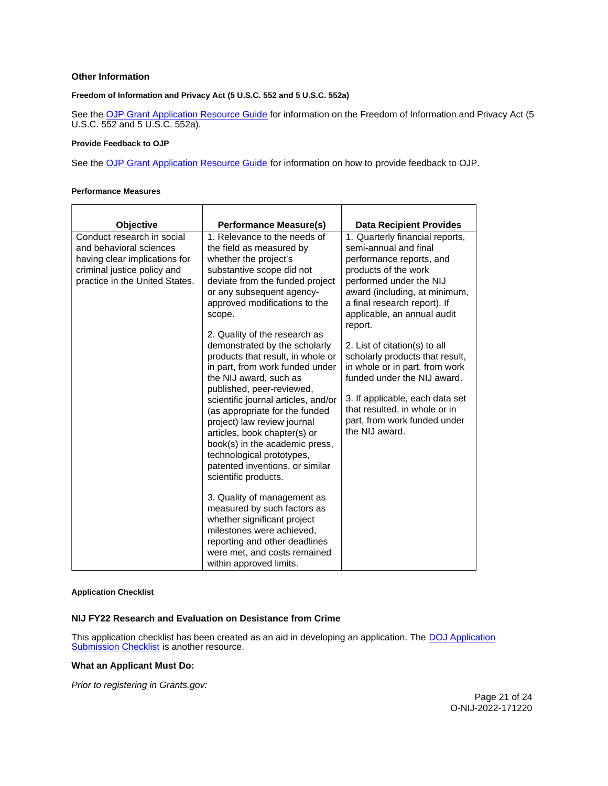## <span id="page-21-0"></span>**Other Information**

## **Freedom of Information and Privacy Act (5 U.S.C. 552 and 5 U.S.C. 552a)**

See the [OJP Grant Application Resource Guide](https://www.ojp.gov/funding/apply/ojp-grant-application-resource-guide#foia) for information on the Freedom of Information and Privacy Act (5 U.S.C. 552 and 5 U.S.C. 552a).

#### **Provide Feedback to OJP**

See the [OJP Grant Application Resource Guide](https://www.ojp.gov/funding/apply/ojp-grant-application-resource-guide#feedback) for information on how to provide feedback to OJP.

#### **Performance Measures**

| Objective<br>Conduct research in social<br>and behavioral sciences<br>having clear implications for<br>criminal justice policy and<br>practice in the United States. | <b>Performance Measure(s)</b><br>1. Relevance to the needs of<br>the field as measured by<br>whether the project's<br>substantive scope did not<br>deviate from the funded project<br>or any subsequent agency-<br>approved modifications to the<br>scope.<br>2. Quality of the research as<br>demonstrated by the scholarly<br>products that result, in whole or<br>in part, from work funded under<br>the NIJ award, such as<br>published, peer-reviewed,<br>scientific journal articles, and/or<br>(as appropriate for the funded<br>project) law review journal<br>articles, book chapter(s) or<br>book(s) in the academic press,<br>technological prototypes,<br>patented inventions, or similar<br>scientific products.<br>3. Quality of management as<br>measured by such factors as<br>whether significant project<br>milestones were achieved,<br>reporting and other deadlines<br>were met, and costs remained<br>within approved limits. | <b>Data Recipient Provides</b><br>1. Quarterly financial reports,<br>semi-annual and final<br>performance reports, and<br>products of the work<br>performed under the NIJ<br>award (including, at minimum,<br>a final research report). If<br>applicable, an annual audit<br>report.<br>2. List of citation(s) to all<br>scholarly products that result,<br>in whole or in part, from work<br>funded under the NIJ award.<br>3. If applicable, each data set<br>that resulted, in whole or in<br>part, from work funded under<br>the NIJ award. |
|----------------------------------------------------------------------------------------------------------------------------------------------------------------------|-----------------------------------------------------------------------------------------------------------------------------------------------------------------------------------------------------------------------------------------------------------------------------------------------------------------------------------------------------------------------------------------------------------------------------------------------------------------------------------------------------------------------------------------------------------------------------------------------------------------------------------------------------------------------------------------------------------------------------------------------------------------------------------------------------------------------------------------------------------------------------------------------------------------------------------------------------|-------------------------------------------------------------------------------------------------------------------------------------------------------------------------------------------------------------------------------------------------------------------------------------------------------------------------------------------------------------------------------------------------------------------------------------------------------------------------------------------------------------------------------------------------|

## **Application Checklist**

## **NIJ FY22 Research and Evaluation on Desistance from Crime**

This application checklist has been created as an aid in developing an application. The **DOJ Application** [Submission Checklist](https://justicegrants.usdoj.gov/sites/g/files/xyckuh296/files/media/document/appln-submission-checklist.pdf) is another resource.

## **What an Applicant Must Do:**

Prior to registering in [Grants.gov](https://Grants.gov):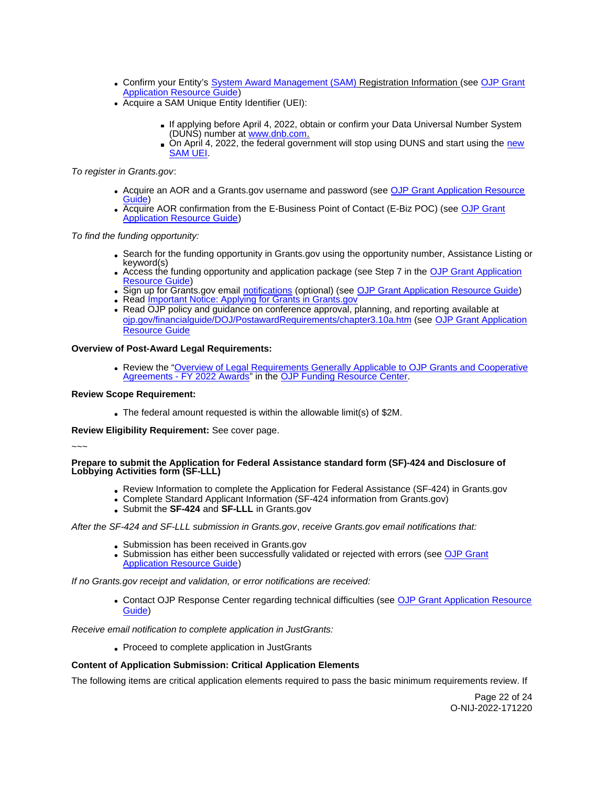- Confirm your Entity's [System Award Management \(SAM\)](https://sam.gov/SAM/) Registration Information (see [OJP Grant](https://www.ojp.gov/funding/apply/ojp-grant-application-resource-guide#apply)  **[Application Resource Guide\)](https://www.ojp.gov/funding/apply/ojp-grant-application-resource-guide#apply)**
- Acquire a SAM Unique Entity Identifier (UEI):
	- If applying before April 4, 2022, obtain or confirm your Data Universal Number System (DUNS) number at [www.dnb.com.](http://www.dnb.com)
	- On April 4, 2022, the federal government will stop using DUNS and start using the new [SAM UEI.](https://justicegrants.usdoj.gov/resources/system-for-award-management#transition-to-unique-entity-id-sam)

To register in [Grants.gov](https://Grants.gov):

- Acquire an AOR and a [Grants.gov](https://Grants.gov) username and password (see OJP Grant Application Resource [Guide\)](https://www.ojp.gov/funding/apply/ojp-grant-application-resource-guide#apply)
- Acquire AOR confirmation from the E-Business Point of Contact (E-Biz POC) (see [OJP Grant](https://www.ojp.gov/funding/apply/ojp-grant-application-resource-guide#apply)  [Application Resource Guide\)](https://www.ojp.gov/funding/apply/ojp-grant-application-resource-guide#apply)

To find the funding opportunity:

- Search for the funding opportunity in [Grants.gov](https://Grants.gov) using the opportunity number, Assistance Listing or keyword(s)
- Access the funding opportunity and application package (see Step 7 in the [OJP Grant Application](https://www.ojp.gov/funding/apply/ojp-grant-application-resource-guide#apply)  [Resource Guide\)](https://www.ojp.gov/funding/apply/ojp-grant-application-resource-guide#apply)
- Sign up for [Grants.gov](https://Grants.gov) email [notifications](https://www.grants.gov/web/grants/manage-subscriptions.html) (optional) (see [OJP Grant Application Resource Guide\)](https://www.ojp.gov/funding/apply/ojp-grant-application-resource-guide#apply)
- Read Important Notice: Applying for Grants in Grants.gov
- Read OJP policy and guidance on conference approval, planning, and reporting available at [ojp.gov/financialguide/DOJ/PostawardRequirements/chapter3.10a.htm](https://ojp.gov/financialguide/DOJ/PostawardRequirements/chapter3.10a.htm) (see [OJP Grant Application](https://www.ojp.gov/funding/apply/ojp-grant-application-resource-guide#prior-approval)  [Resource Guide](https://www.ojp.gov/funding/apply/ojp-grant-application-resource-guide#prior-approval)

## **Overview of Post-Award Legal Requirements:**

Review the "Overview of Legal Requirements Generally Applicable to OJP Grants and Cooperative [Agreements - FY 2022 Awards"](https://www.ojp.gov/funding/explore/legal-overview-awards) in the [OJP Funding Resource Center.](https://www.ojp.gov/funding/explore/legal-overview-awards)

## **Review Scope Requirement:**

The federal amount requested is within the allowable limit(s) of \$2M.

**Review Eligibility Requirement:** See cover page.

~~~

## **Prepare to submit the Application for Federal Assistance standard form (SF)-424 and Disclosure of Lobbying Activities form (SF-LLL)**

- Review Information to complete the Application for Federal Assistance (SF-424) in [Grants.gov](https://Grants.gov)
- Complete Standard Applicant Information (SF-424 information from [Grants.gov\)](https://Grants.gov)
- Submit the **SF-424** and **SF-LLL** in [Grants.gov](https://Grants.gov)

After the SF-424 and SF-LLL submission in [Grants.gov](https://Grants.gov), receive [Grants.gov](https://Grants.gov) email notifications that:

- Submission has been received in [Grants.gov](https://Grants.gov)
- Submission has either been successfully validated or rejected with errors (see OJP Grant [Application Resource Guide\)](https://www.ojp.gov/funding/apply/ojp-grant-application-resource-guide#apply)

If no [Grants.gov](https://Grants.gov) receipt and validation, or error notifications are received:

• Contact OJP Response Center regarding technical difficulties (see OJP Grant Application Resource [Guide\)](https://www.ojp.gov/funding/apply/ojp-grant-application-resource-guide#apply)

Receive email notification to complete application in JustGrants:

Proceed to complete application in JustGrants

## **Content of Application Submission: Critical Application Elements**

The following items are critical application elements required to pass the basic minimum requirements review. If

Page 22 of 24 O-NIJ-2022-171220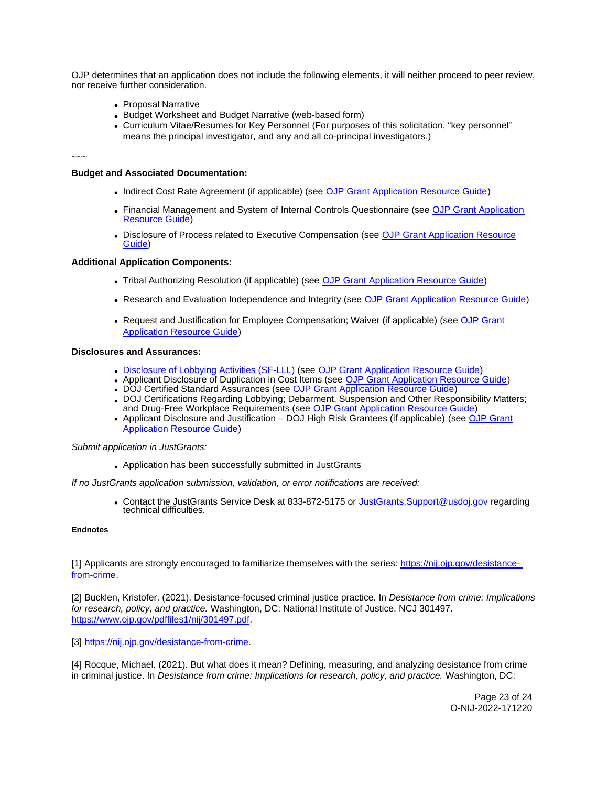<span id="page-23-0"></span>OJP determines that an application does not include the following elements, it will neither proceed to peer review, nor receive further consideration.

- Proposal Narrative
- Budget Worksheet and Budget Narrative (web-based form)
- Curriculum Vitae/Resumes for Key Personnel (For purposes of this solicitation, "key personnel" means the principal investigator, and any and all co-principal investigators.)

~~~

#### **Budget and Associated Documentation:**

- Indirect Cost Rate Agreement (if applicable) (see [OJP Grant Application Resource Guide\)](https://www.ojp.gov/funding/apply/ojp-grant-application-resource-guide#indirect-cost)
- Financial Management and System of Internal Controls Questionnaire (see [OJP Grant Application](https://www.ojp.gov/funding/apply/ojp-grant-application-resource-guide#fm-internal-controls-questionnaire)  [Resource Guide\)](https://www.ojp.gov/funding/apply/ojp-grant-application-resource-guide#fm-internal-controls-questionnaire)
- **Disclosure of Process related to Executive Compensation (see OJP Grant Application Resource** [Guide\)](https://www.ojp.gov/funding/apply/ojp-grant-application-resource-guide#disclosure-process-executive)

## **Additional Application Components:**

- Tribal Authorizing Resolution (if applicable) (see [OJP Grant Application Resource Guide\)](https://www.ojp.gov/funding/apply/ojp-grant-application-resource-guide#tribal-authorizing-resolution)
- Research and Evaluation Independence and Integrity (see [OJP Grant Application Resource Guide\)](https://www.ojp.gov/funding/apply/ojp-grant-application-resource-guide#research-evaluation)
- Request and Justification for Employee Compensation; Waiver (if applicable) (see OJP Grant [Application Resource Guide\)](https://www.ojp.gov/funding/apply/ojp-grant-application-resource-guide#limitation-use-award)

## **Disclosures and Assurances:**

- [Disclosure of Lobbying Activities \(SF-LLL\)](https://ojp.gov/funding/Apply/Resources/Disclosure.pdf) (see [OJP Grant Application Resource Guide\)](https://www.ojp.gov/funding/apply/ojp-grant-application-resource-guide#disclosure-lobby)
- Applicant Disclosure of Duplication in Cost Items (see [OJP Grant Application Resource Guide\)](https://www.ojp.gov/funding/apply/ojp-grant-application-resource-guide#applicant-disclosure-pending-applications)
- DOJ Certified Standard Assurances (see [OJP Grant Application Resource Guide\)](https://www.ojp.gov/funding/apply/ojp-grant-application-resource-guide#administrative)
- DOJ Certifications Regarding Lobbying; Debarment, Suspension and Other Responsibility Matters; and Drug-Free Workplace Requirements (see [OJP Grant Application Resource Guide\)](https://www.ojp.gov/funding/apply/ojp-grant-application-resource-guide#administrative)
- Applicant Disclosure and Justification DOJ High Risk Grantees (if applicable) (see OJP Grant [Application Resource Guide\)](https://www.ojp.gov/funding/apply/ojp-grant-application-resource-guide#applicant-disclosure-justification)

Submit application in JustGrants:

Application has been successfully submitted in JustGrants

If no JustGrants application submission, validation, or error notifications are received:

• Contact the JustGrants Service Desk at 833-872-5175 or [JustGrants.Support@usdoj.gov](mailto:JustGrants.Support@usdoj.gov) regarding technical difficulties.

## **Endnotes**

[1] Applicants are strongly encouraged to familiarize themselves with the series: [https://nij.ojp.gov/desistance](https://nij.ojp.gov/desistance-from-crime)[from-crime.](https://nij.ojp.gov/desistance-from-crime)

[2] Bucklen, Kristofer. (2021). Desistance-focused criminal justice practice. In Desistance from crime: Implications for research, policy, and practice. Washington, DC: National Institute of Justice. NCJ 301497. [https://www.ojp.gov/pdffiles1/nij/301497.pdf.](https://www.ojp.gov/pdffiles1/nij/301497.pdf)

[3] [https://nij.ojp.gov/desistance-from-crime.](https://nij.ojp.gov/desistance-from-crime)

[4] Rocque, Michael. (2021). But what does it mean? Defining, measuring, and analyzing desistance from crime in criminal justice. In Desistance from crime: Implications for research, policy, and practice. Washington, DC:

> Page 23 of 24 O-NIJ-2022-171220